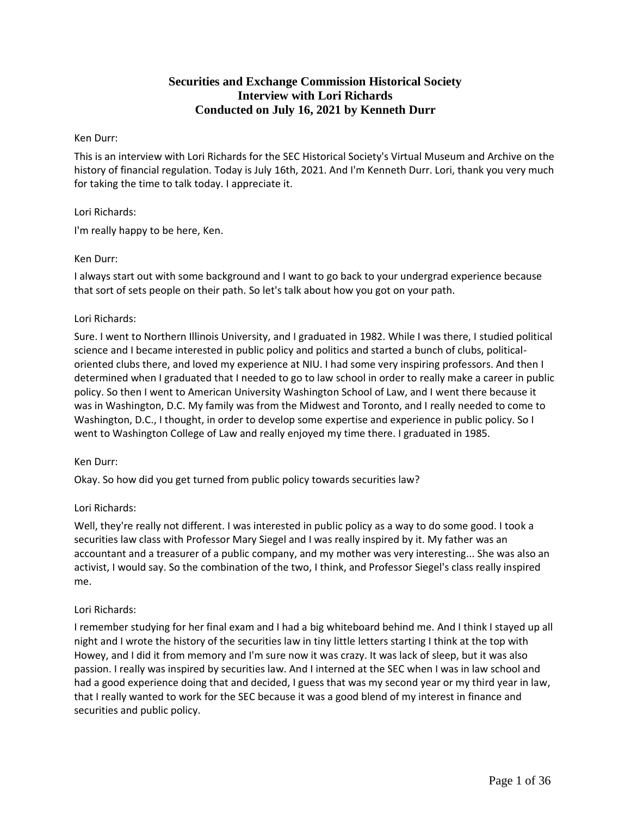# **Securities and Exchange Commission Historical Society Interview with Lori Richards Conducted on July 16, 2021 by Kenneth Durr**

### Ken Durr:

This is an interview with Lori Richards for the SEC Historical Society's Virtual Museum and Archive on the history of financial regulation. Today is July 16th, 2021. And I'm Kenneth Durr. Lori, thank you very much for taking the time to talk today. I appreciate it.

## Lori Richards:

I'm really happy to be here, Ken.

### Ken Durr:

I always start out with some background and I want to go back to your undergrad experience because that sort of sets people on their path. So let's talk about how you got on your path.

### Lori Richards:

Sure. I went to Northern Illinois University, and I graduated in 1982. While I was there, I studied political science and I became interested in public policy and politics and started a bunch of clubs, politicaloriented clubs there, and loved my experience at NIU. I had some very inspiring professors. And then I determined when I graduated that I needed to go to law school in order to really make a career in public policy. So then I went to American University Washington School of Law, and I went there because it was in Washington, D.C. My family was from the Midwest and Toronto, and I really needed to come to Washington, D.C., I thought, in order to develop some expertise and experience in public policy. So I went to Washington College of Law and really enjoyed my time there. I graduated in 1985.

## Ken Durr:

Okay. So how did you get turned from public policy towards securities law?

## Lori Richards:

Well, they're really not different. I was interested in public policy as a way to do some good. I took a securities law class with Professor Mary Siegel and I was really inspired by it. My father was an accountant and a treasurer of a public company, and my mother was very interesting... She was also an activist, I would say. So the combination of the two, I think, and Professor Siegel's class really inspired me.

## Lori Richards:

I remember studying for her final exam and I had a big whiteboard behind me. And I think I stayed up all night and I wrote the history of the securities law in tiny little letters starting I think at the top with Howey, and I did it from memory and I'm sure now it was crazy. It was lack of sleep, but it was also passion. I really was inspired by securities law. And I interned at the SEC when I was in law school and had a good experience doing that and decided, I guess that was my second year or my third year in law, that I really wanted to work for the SEC because it was a good blend of my interest in finance and securities and public policy.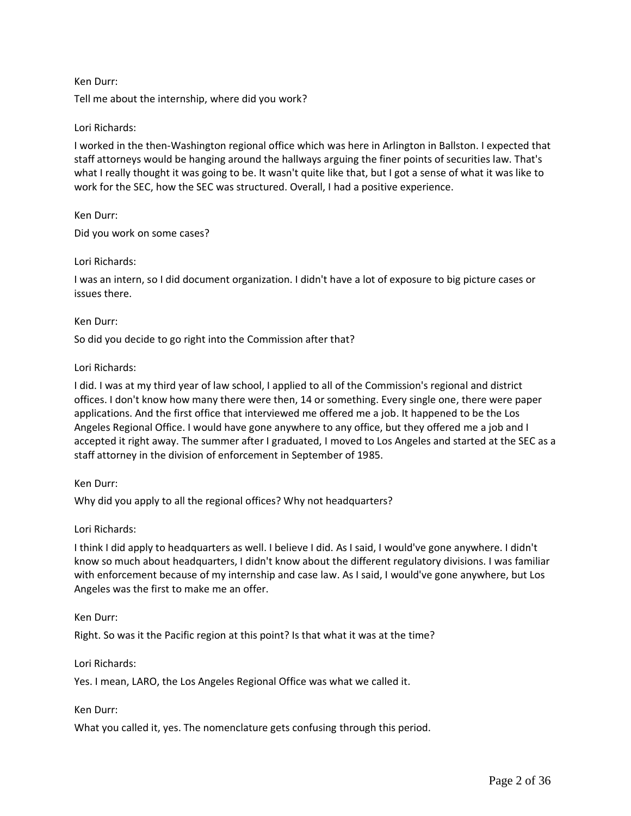### Ken Durr:

Tell me about the internship, where did you work?

### Lori Richards:

I worked in the then-Washington regional office which was here in Arlington in Ballston. I expected that staff attorneys would be hanging around the hallways arguing the finer points of securities law. That's what I really thought it was going to be. It wasn't quite like that, but I got a sense of what it was like to work for the SEC, how the SEC was structured. Overall, I had a positive experience.

Ken Durr:

Did you work on some cases?

### Lori Richards:

I was an intern, so I did document organization. I didn't have a lot of exposure to big picture cases or issues there.

#### Ken Durr:

So did you decide to go right into the Commission after that?

### Lori Richards:

I did. I was at my third year of law school, I applied to all of the Commission's regional and district offices. I don't know how many there were then, 14 or something. Every single one, there were paper applications. And the first office that interviewed me offered me a job. It happened to be the Los Angeles Regional Office. I would have gone anywhere to any office, but they offered me a job and I accepted it right away. The summer after I graduated, I moved to Los Angeles and started at the SEC as a staff attorney in the division of enforcement in September of 1985.

#### Ken Durr:

Why did you apply to all the regional offices? Why not headquarters?

#### Lori Richards:

I think I did apply to headquarters as well. I believe I did. As I said, I would've gone anywhere. I didn't know so much about headquarters, I didn't know about the different regulatory divisions. I was familiar with enforcement because of my internship and case law. As I said, I would've gone anywhere, but Los Angeles was the first to make me an offer.

#### Ken Durr:

Right. So was it the Pacific region at this point? Is that what it was at the time?

#### Lori Richards:

Yes. I mean, LARO, the Los Angeles Regional Office was what we called it.

#### Ken Durr:

What you called it, yes. The nomenclature gets confusing through this period.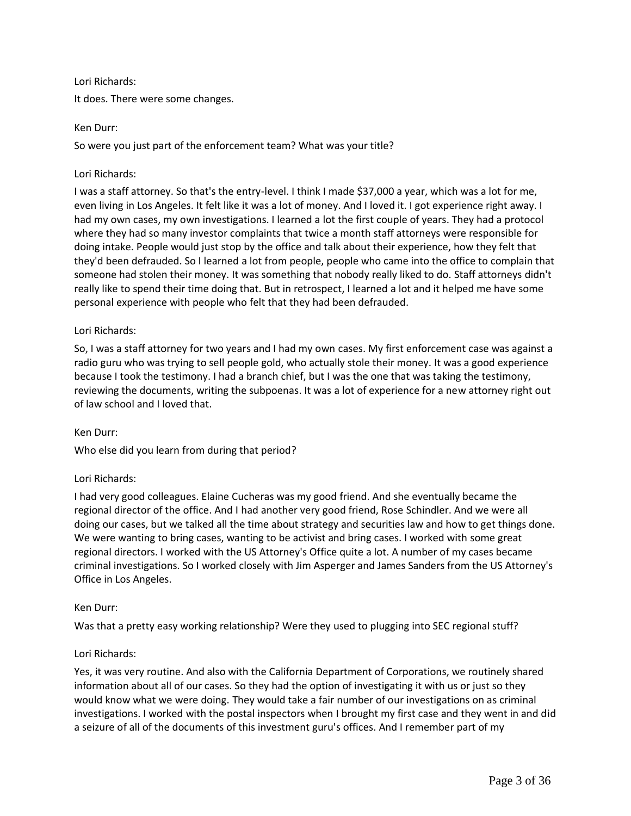It does. There were some changes.

### Ken Durr:

So were you just part of the enforcement team? What was your title?

### Lori Richards:

I was a staff attorney. So that's the entry-level. I think I made \$37,000 a year, which was a lot for me, even living in Los Angeles. It felt like it was a lot of money. And I loved it. I got experience right away. I had my own cases, my own investigations. I learned a lot the first couple of years. They had a protocol where they had so many investor complaints that twice a month staff attorneys were responsible for doing intake. People would just stop by the office and talk about their experience, how they felt that they'd been defrauded. So I learned a lot from people, people who came into the office to complain that someone had stolen their money. It was something that nobody really liked to do. Staff attorneys didn't really like to spend their time doing that. But in retrospect, I learned a lot and it helped me have some personal experience with people who felt that they had been defrauded.

### Lori Richards:

So, I was a staff attorney for two years and I had my own cases. My first enforcement case was against a radio guru who was trying to sell people gold, who actually stole their money. It was a good experience because I took the testimony. I had a branch chief, but I was the one that was taking the testimony, reviewing the documents, writing the subpoenas. It was a lot of experience for a new attorney right out of law school and I loved that.

#### Ken Durr:

Who else did you learn from during that period?

## Lori Richards:

I had very good colleagues. Elaine Cucheras was my good friend. And she eventually became the regional director of the office. And I had another very good friend, Rose Schindler. And we were all doing our cases, but we talked all the time about strategy and securities law and how to get things done. We were wanting to bring cases, wanting to be activist and bring cases. I worked with some great regional directors. I worked with the US Attorney's Office quite a lot. A number of my cases became criminal investigations. So I worked closely with Jim Asperger and James Sanders from the US Attorney's Office in Los Angeles.

#### Ken Durr:

Was that a pretty easy working relationship? Were they used to plugging into SEC regional stuff?

## Lori Richards:

Yes, it was very routine. And also with the California Department of Corporations, we routinely shared information about all of our cases. So they had the option of investigating it with us or just so they would know what we were doing. They would take a fair number of our investigations on as criminal investigations. I worked with the postal inspectors when I brought my first case and they went in and did a seizure of all of the documents of this investment guru's offices. And I remember part of my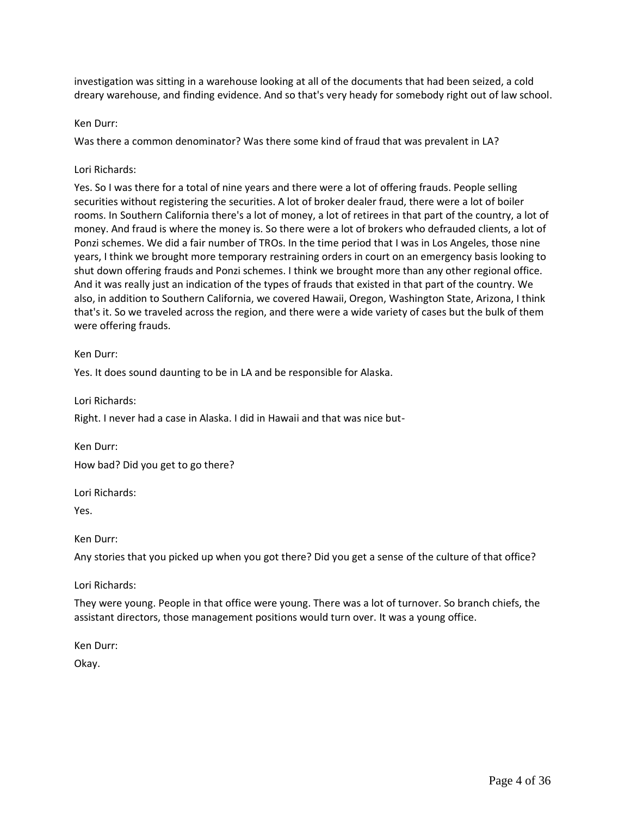investigation was sitting in a warehouse looking at all of the documents that had been seized, a cold dreary warehouse, and finding evidence. And so that's very heady for somebody right out of law school.

### Ken Durr:

Was there a common denominator? Was there some kind of fraud that was prevalent in LA?

### Lori Richards:

Yes. So I was there for a total of nine years and there were a lot of offering frauds. People selling securities without registering the securities. A lot of broker dealer fraud, there were a lot of boiler rooms. In Southern California there's a lot of money, a lot of retirees in that part of the country, a lot of money. And fraud is where the money is. So there were a lot of brokers who defrauded clients, a lot of Ponzi schemes. We did a fair number of TROs. In the time period that I was in Los Angeles, those nine years, I think we brought more temporary restraining orders in court on an emergency basis looking to shut down offering frauds and Ponzi schemes. I think we brought more than any other regional office. And it was really just an indication of the types of frauds that existed in that part of the country. We also, in addition to Southern California, we covered Hawaii, Oregon, Washington State, Arizona, I think that's it. So we traveled across the region, and there were a wide variety of cases but the bulk of them were offering frauds.

### Ken Durr:

Yes. It does sound daunting to be in LA and be responsible for Alaska.

Lori Richards:

Right. I never had a case in Alaska. I did in Hawaii and that was nice but-

Ken Durr: How bad? Did you get to go there?

Lori Richards:

Yes.

Ken Durr:

Any stories that you picked up when you got there? Did you get a sense of the culture of that office?

Lori Richards:

They were young. People in that office were young. There was a lot of turnover. So branch chiefs, the assistant directors, those management positions would turn over. It was a young office.

Ken Durr:

Okay.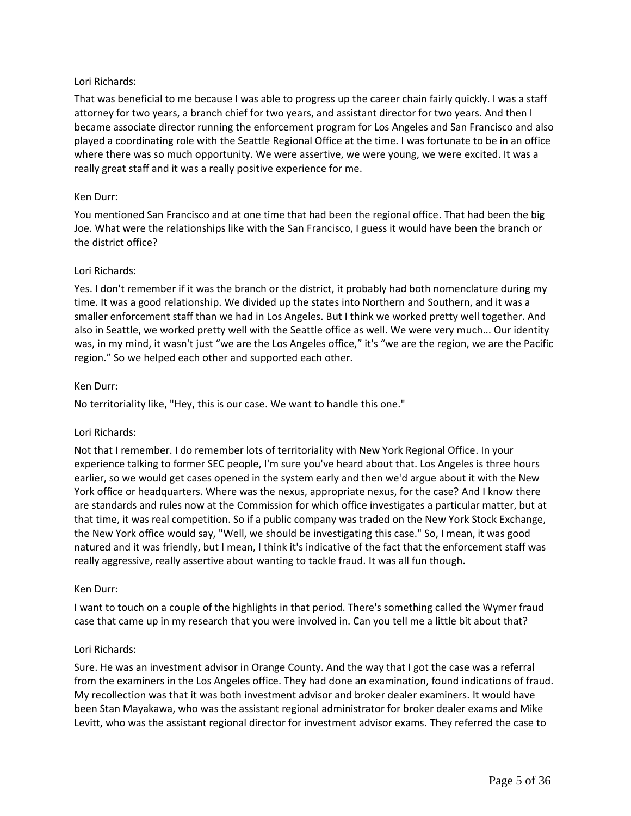That was beneficial to me because I was able to progress up the career chain fairly quickly. I was a staff attorney for two years, a branch chief for two years, and assistant director for two years. And then I became associate director running the enforcement program for Los Angeles and San Francisco and also played a coordinating role with the Seattle Regional Office at the time. I was fortunate to be in an office where there was so much opportunity. We were assertive, we were young, we were excited. It was a really great staff and it was a really positive experience for me.

### Ken Durr:

You mentioned San Francisco and at one time that had been the regional office. That had been the big Joe. What were the relationships like with the San Francisco, I guess it would have been the branch or the district office?

### Lori Richards:

Yes. I don't remember if it was the branch or the district, it probably had both nomenclature during my time. It was a good relationship. We divided up the states into Northern and Southern, and it was a smaller enforcement staff than we had in Los Angeles. But I think we worked pretty well together. And also in Seattle, we worked pretty well with the Seattle office as well. We were very much... Our identity was, in my mind, it wasn't just "we are the Los Angeles office," it's "we are the region, we are the Pacific region." So we helped each other and supported each other.

### Ken Durr:

No territoriality like, "Hey, this is our case. We want to handle this one."

## Lori Richards:

Not that I remember. I do remember lots of territoriality with New York Regional Office. In your experience talking to former SEC people, I'm sure you've heard about that. Los Angeles is three hours earlier, so we would get cases opened in the system early and then we'd argue about it with the New York office or headquarters. Where was the nexus, appropriate nexus, for the case? And I know there are standards and rules now at the Commission for which office investigates a particular matter, but at that time, it was real competition. So if a public company was traded on the New York Stock Exchange, the New York office would say, "Well, we should be investigating this case." So, I mean, it was good natured and it was friendly, but I mean, I think it's indicative of the fact that the enforcement staff was really aggressive, really assertive about wanting to tackle fraud. It was all fun though.

#### Ken Durr:

I want to touch on a couple of the highlights in that period. There's something called the Wymer fraud case that came up in my research that you were involved in. Can you tell me a little bit about that?

#### Lori Richards:

Sure. He was an investment advisor in Orange County. And the way that I got the case was a referral from the examiners in the Los Angeles office. They had done an examination, found indications of fraud. My recollection was that it was both investment advisor and broker dealer examiners. It would have been Stan Mayakawa, who was the assistant regional administrator for broker dealer exams and Mike Levitt, who was the assistant regional director for investment advisor exams. They referred the case to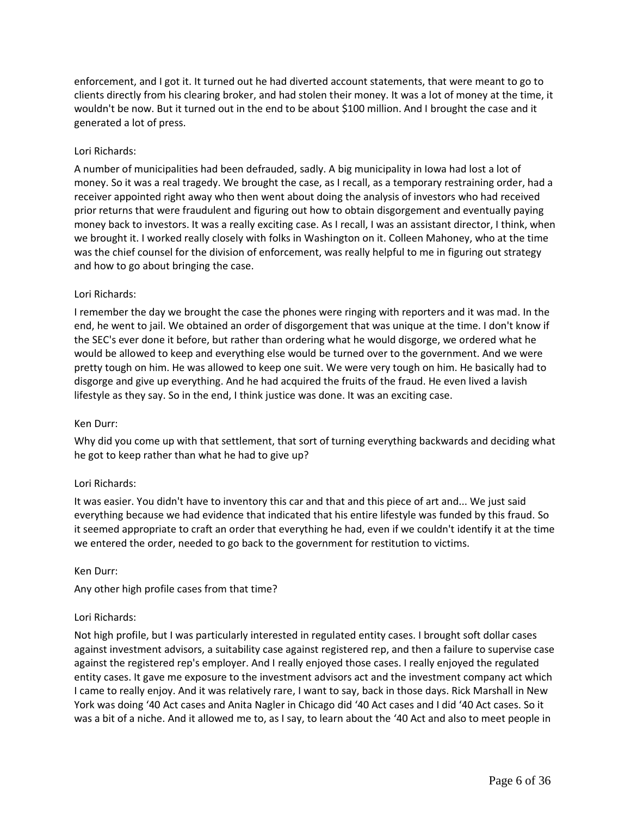enforcement, and I got it. It turned out he had diverted account statements, that were meant to go to clients directly from his clearing broker, and had stolen their money. It was a lot of money at the time, it wouldn't be now. But it turned out in the end to be about \$100 million. And I brought the case and it generated a lot of press.

## Lori Richards:

A number of municipalities had been defrauded, sadly. A big municipality in Iowa had lost a lot of money. So it was a real tragedy. We brought the case, as I recall, as a temporary restraining order, had a receiver appointed right away who then went about doing the analysis of investors who had received prior returns that were fraudulent and figuring out how to obtain disgorgement and eventually paying money back to investors. It was a really exciting case. As I recall, I was an assistant director, I think, when we brought it. I worked really closely with folks in Washington on it. Colleen Mahoney, who at the time was the chief counsel for the division of enforcement, was really helpful to me in figuring out strategy and how to go about bringing the case.

### Lori Richards:

I remember the day we brought the case the phones were ringing with reporters and it was mad. In the end, he went to jail. We obtained an order of disgorgement that was unique at the time. I don't know if the SEC's ever done it before, but rather than ordering what he would disgorge, we ordered what he would be allowed to keep and everything else would be turned over to the government. And we were pretty tough on him. He was allowed to keep one suit. We were very tough on him. He basically had to disgorge and give up everything. And he had acquired the fruits of the fraud. He even lived a lavish lifestyle as they say. So in the end, I think justice was done. It was an exciting case.

#### Ken Durr:

Why did you come up with that settlement, that sort of turning everything backwards and deciding what he got to keep rather than what he had to give up?

## Lori Richards:

It was easier. You didn't have to inventory this car and that and this piece of art and... We just said everything because we had evidence that indicated that his entire lifestyle was funded by this fraud. So it seemed appropriate to craft an order that everything he had, even if we couldn't identify it at the time we entered the order, needed to go back to the government for restitution to victims.

#### Ken Durr:

Any other high profile cases from that time?

#### Lori Richards:

Not high profile, but I was particularly interested in regulated entity cases. I brought soft dollar cases against investment advisors, a suitability case against registered rep, and then a failure to supervise case against the registered rep's employer. And I really enjoyed those cases. I really enjoyed the regulated entity cases. It gave me exposure to the investment advisors act and the investment company act which I came to really enjoy. And it was relatively rare, I want to say, back in those days. Rick Marshall in New York was doing '40 Act cases and Anita Nagler in Chicago did '40 Act cases and I did '40 Act cases. So it was a bit of a niche. And it allowed me to, as I say, to learn about the '40 Act and also to meet people in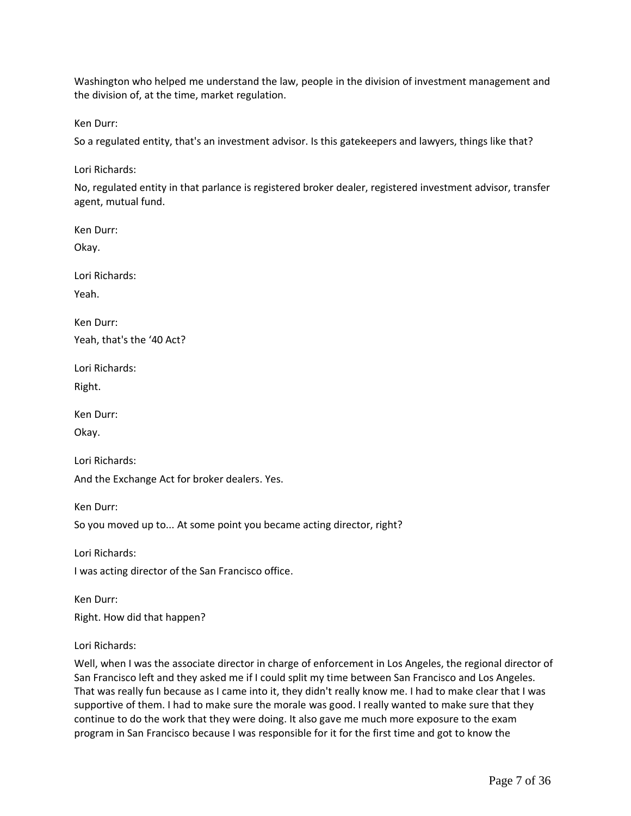Washington who helped me understand the law, people in the division of investment management and the division of, at the time, market regulation.

Ken Durr:

So a regulated entity, that's an investment advisor. Is this gatekeepers and lawyers, things like that?

Lori Richards:

No, regulated entity in that parlance is registered broker dealer, registered investment advisor, transfer agent, mutual fund.

Ken Durr:

Okay.

Lori Richards:

Yeah.

Ken Durr: Yeah, that's the '40 Act?

Lori Richards:

Right.

Ken Durr:

Okay.

Lori Richards:

And the Exchange Act for broker dealers. Yes.

Ken Durr:

So you moved up to... At some point you became acting director, right?

Lori Richards:

I was acting director of the San Francisco office.

Ken Durr: Right. How did that happen?

## Lori Richards:

Well, when I was the associate director in charge of enforcement in Los Angeles, the regional director of San Francisco left and they asked me if I could split my time between San Francisco and Los Angeles. That was really fun because as I came into it, they didn't really know me. I had to make clear that I was supportive of them. I had to make sure the morale was good. I really wanted to make sure that they continue to do the work that they were doing. It also gave me much more exposure to the exam program in San Francisco because I was responsible for it for the first time and got to know the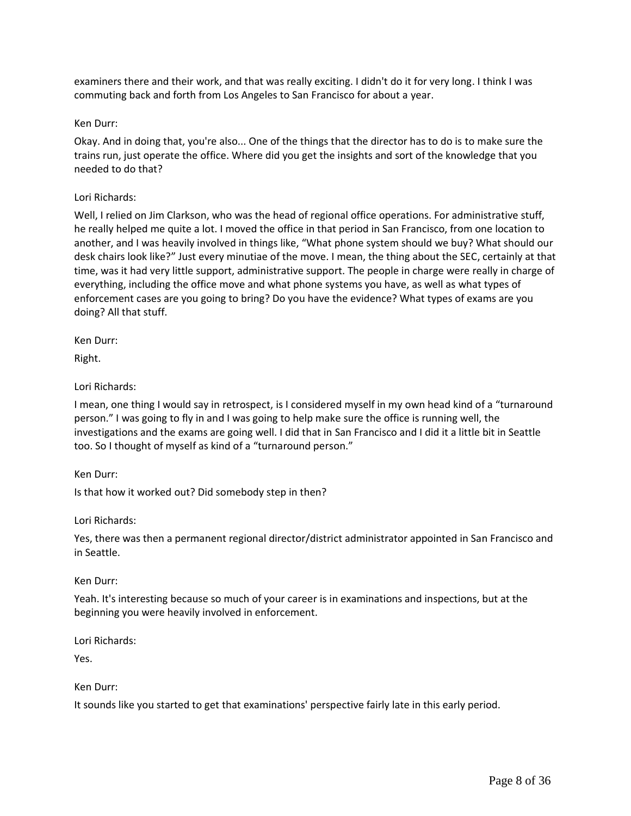examiners there and their work, and that was really exciting. I didn't do it for very long. I think I was commuting back and forth from Los Angeles to San Francisco for about a year.

### Ken Durr:

Okay. And in doing that, you're also... One of the things that the director has to do is to make sure the trains run, just operate the office. Where did you get the insights and sort of the knowledge that you needed to do that?

### Lori Richards:

Well, I relied on Jim Clarkson, who was the head of regional office operations. For administrative stuff, he really helped me quite a lot. I moved the office in that period in San Francisco, from one location to another, and I was heavily involved in things like, "What phone system should we buy? What should our desk chairs look like?" Just every minutiae of the move. I mean, the thing about the SEC, certainly at that time, was it had very little support, administrative support. The people in charge were really in charge of everything, including the office move and what phone systems you have, as well as what types of enforcement cases are you going to bring? Do you have the evidence? What types of exams are you doing? All that stuff.

Ken Durr:

Right.

### Lori Richards:

I mean, one thing I would say in retrospect, is I considered myself in my own head kind of a "turnaround person." I was going to fly in and I was going to help make sure the office is running well, the investigations and the exams are going well. I did that in San Francisco and I did it a little bit in Seattle too. So I thought of myself as kind of a "turnaround person."

#### Ken Durr:

Is that how it worked out? Did somebody step in then?

#### Lori Richards:

Yes, there was then a permanent regional director/district administrator appointed in San Francisco and in Seattle.

#### Ken Durr:

Yeah. It's interesting because so much of your career is in examinations and inspections, but at the beginning you were heavily involved in enforcement.

Lori Richards:

Yes.

#### Ken Durr:

It sounds like you started to get that examinations' perspective fairly late in this early period.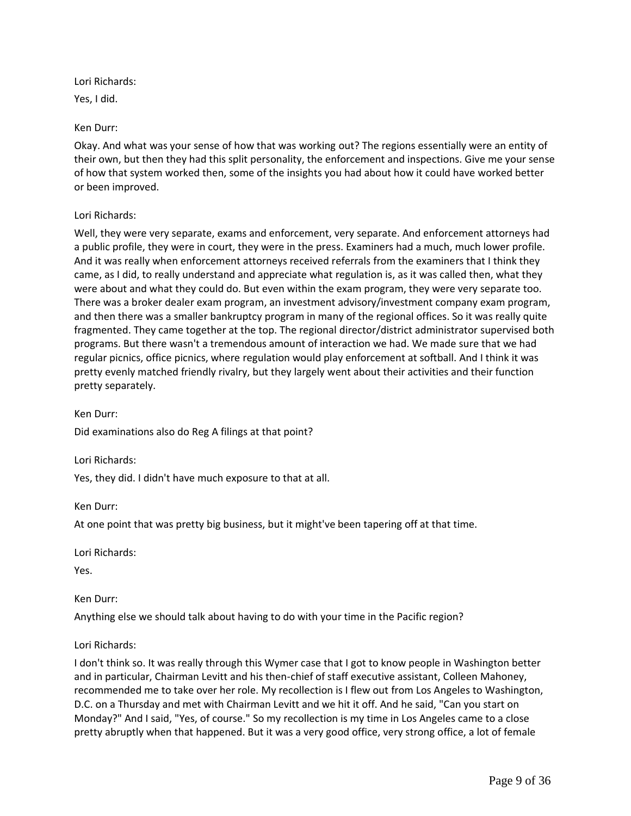Yes, I did.

# Ken Durr:

Okay. And what was your sense of how that was working out? The regions essentially were an entity of their own, but then they had this split personality, the enforcement and inspections. Give me your sense of how that system worked then, some of the insights you had about how it could have worked better or been improved.

# Lori Richards:

Well, they were very separate, exams and enforcement, very separate. And enforcement attorneys had a public profile, they were in court, they were in the press. Examiners had a much, much lower profile. And it was really when enforcement attorneys received referrals from the examiners that I think they came, as I did, to really understand and appreciate what regulation is, as it was called then, what they were about and what they could do. But even within the exam program, they were very separate too. There was a broker dealer exam program, an investment advisory/investment company exam program, and then there was a smaller bankruptcy program in many of the regional offices. So it was really quite fragmented. They came together at the top. The regional director/district administrator supervised both programs. But there wasn't a tremendous amount of interaction we had. We made sure that we had regular picnics, office picnics, where regulation would play enforcement at softball. And I think it was pretty evenly matched friendly rivalry, but they largely went about their activities and their function pretty separately.

Ken Durr:

Did examinations also do Reg A filings at that point?

Lori Richards:

Yes, they did. I didn't have much exposure to that at all.

Ken Durr:

At one point that was pretty big business, but it might've been tapering off at that time.

Lori Richards:

Yes.

Ken Durr:

Anything else we should talk about having to do with your time in the Pacific region?

## Lori Richards:

I don't think so. It was really through this Wymer case that I got to know people in Washington better and in particular, Chairman Levitt and his then-chief of staff executive assistant, Colleen Mahoney, recommended me to take over her role. My recollection is I flew out from Los Angeles to Washington, D.C. on a Thursday and met with Chairman Levitt and we hit it off. And he said, "Can you start on Monday?" And I said, "Yes, of course." So my recollection is my time in Los Angeles came to a close pretty abruptly when that happened. But it was a very good office, very strong office, a lot of female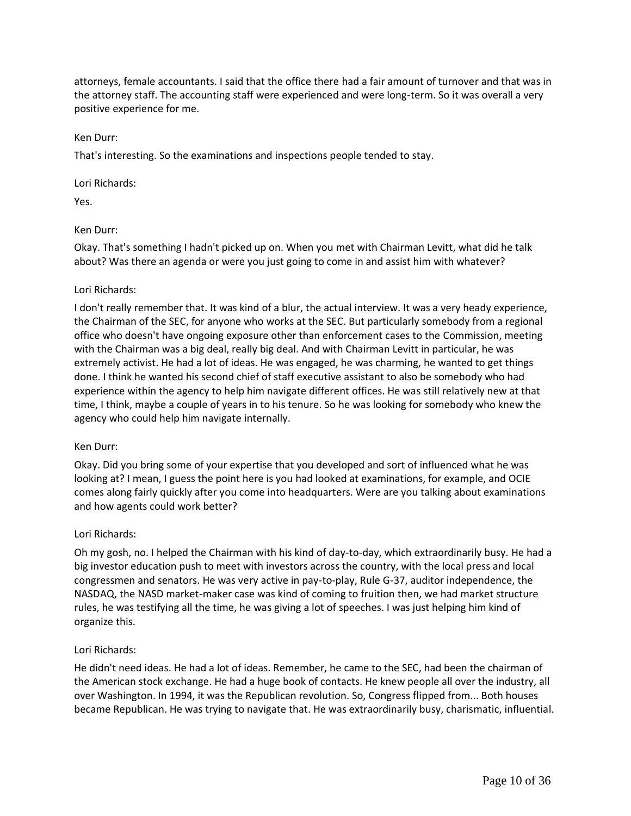attorneys, female accountants. I said that the office there had a fair amount of turnover and that was in the attorney staff. The accounting staff were experienced and were long-term. So it was overall a very positive experience for me.

### Ken Durr:

That's interesting. So the examinations and inspections people tended to stay.

### Lori Richards:

Yes.

## Ken Durr:

Okay. That's something I hadn't picked up on. When you met with Chairman Levitt, what did he talk about? Was there an agenda or were you just going to come in and assist him with whatever?

### Lori Richards:

I don't really remember that. It was kind of a blur, the actual interview. It was a very heady experience, the Chairman of the SEC, for anyone who works at the SEC. But particularly somebody from a regional office who doesn't have ongoing exposure other than enforcement cases to the Commission, meeting with the Chairman was a big deal, really big deal. And with Chairman Levitt in particular, he was extremely activist. He had a lot of ideas. He was engaged, he was charming, he wanted to get things done. I think he wanted his second chief of staff executive assistant to also be somebody who had experience within the agency to help him navigate different offices. He was still relatively new at that time, I think, maybe a couple of years in to his tenure. So he was looking for somebody who knew the agency who could help him navigate internally.

## Ken Durr:

Okay. Did you bring some of your expertise that you developed and sort of influenced what he was looking at? I mean, I guess the point here is you had looked at examinations, for example, and OCIE comes along fairly quickly after you come into headquarters. Were are you talking about examinations and how agents could work better?

## Lori Richards:

Oh my gosh, no. I helped the Chairman with his kind of day-to-day, which extraordinarily busy. He had a big investor education push to meet with investors across the country, with the local press and local congressmen and senators. He was very active in pay-to-play, Rule G-37, auditor independence, the NASDAQ, the NASD market-maker case was kind of coming to fruition then, we had market structure rules, he was testifying all the time, he was giving a lot of speeches. I was just helping him kind of organize this.

## Lori Richards:

He didn't need ideas. He had a lot of ideas. Remember, he came to the SEC, had been the chairman of the American stock exchange. He had a huge book of contacts. He knew people all over the industry, all over Washington. In 1994, it was the Republican revolution. So, Congress flipped from... Both houses became Republican. He was trying to navigate that. He was extraordinarily busy, charismatic, influential.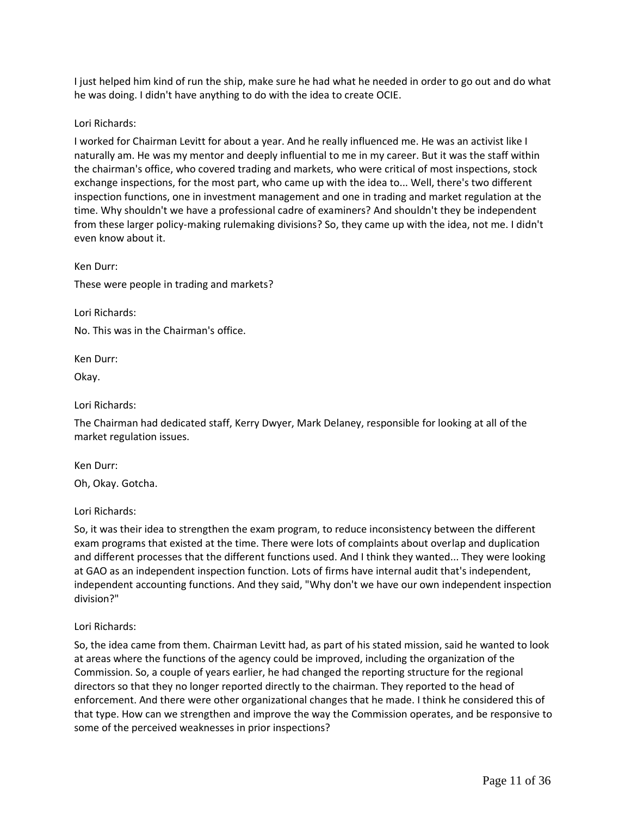I just helped him kind of run the ship, make sure he had what he needed in order to go out and do what he was doing. I didn't have anything to do with the idea to create OCIE.

Lori Richards:

I worked for Chairman Levitt for about a year. And he really influenced me. He was an activist like I naturally am. He was my mentor and deeply influential to me in my career. But it was the staff within the chairman's office, who covered trading and markets, who were critical of most inspections, stock exchange inspections, for the most part, who came up with the idea to... Well, there's two different inspection functions, one in investment management and one in trading and market regulation at the time. Why shouldn't we have a professional cadre of examiners? And shouldn't they be independent from these larger policy-making rulemaking divisions? So, they came up with the idea, not me. I didn't even know about it.

Ken Durr:

These were people in trading and markets?

Lori Richards:

No. This was in the Chairman's office.

Ken Durr:

Okay.

Lori Richards:

The Chairman had dedicated staff, Kerry Dwyer, Mark Delaney, responsible for looking at all of the market regulation issues.

Ken Durr: Oh, Okay. Gotcha.

Lori Richards:

So, it was their idea to strengthen the exam program, to reduce inconsistency between the different exam programs that existed at the time. There were lots of complaints about overlap and duplication and different processes that the different functions used. And I think they wanted... They were looking at GAO as an independent inspection function. Lots of firms have internal audit that's independent, independent accounting functions. And they said, "Why don't we have our own independent inspection division?"

Lori Richards:

So, the idea came from them. Chairman Levitt had, as part of his stated mission, said he wanted to look at areas where the functions of the agency could be improved, including the organization of the Commission. So, a couple of years earlier, he had changed the reporting structure for the regional directors so that they no longer reported directly to the chairman. They reported to the head of enforcement. And there were other organizational changes that he made. I think he considered this of that type. How can we strengthen and improve the way the Commission operates, and be responsive to some of the perceived weaknesses in prior inspections?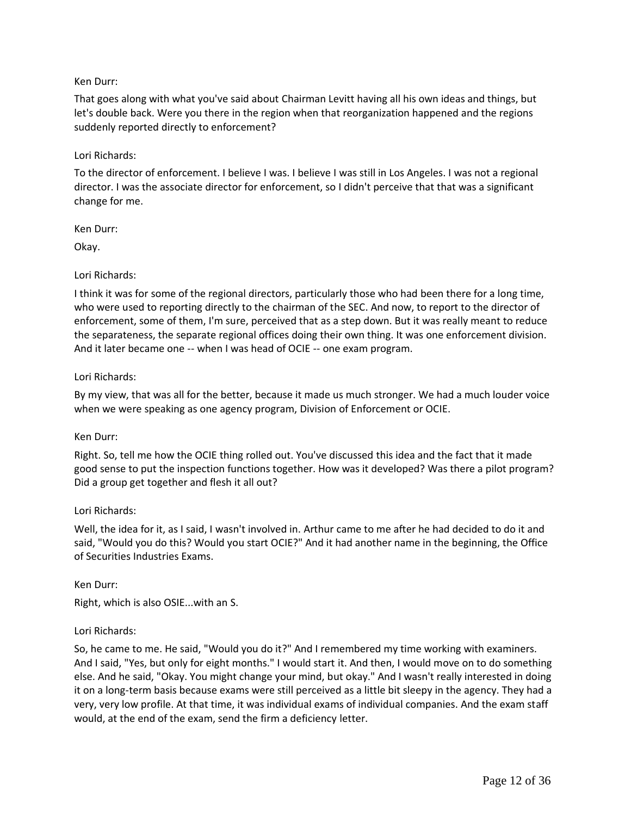## Ken Durr:

That goes along with what you've said about Chairman Levitt having all his own ideas and things, but let's double back. Were you there in the region when that reorganization happened and the regions suddenly reported directly to enforcement?

### Lori Richards:

To the director of enforcement. I believe I was. I believe I was still in Los Angeles. I was not a regional director. I was the associate director for enforcement, so I didn't perceive that that was a significant change for me.

Ken Durr:

Okay.

### Lori Richards:

I think it was for some of the regional directors, particularly those who had been there for a long time, who were used to reporting directly to the chairman of the SEC. And now, to report to the director of enforcement, some of them, I'm sure, perceived that as a step down. But it was really meant to reduce the separateness, the separate regional offices doing their own thing. It was one enforcement division. And it later became one -- when I was head of OCIE -- one exam program.

### Lori Richards:

By my view, that was all for the better, because it made us much stronger. We had a much louder voice when we were speaking as one agency program, Division of Enforcement or OCIE.

#### Ken Durr:

Right. So, tell me how the OCIE thing rolled out. You've discussed this idea and the fact that it made good sense to put the inspection functions together. How was it developed? Was there a pilot program? Did a group get together and flesh it all out?

#### Lori Richards:

Well, the idea for it, as I said, I wasn't involved in. Arthur came to me after he had decided to do it and said, "Would you do this? Would you start OCIE?" And it had another name in the beginning, the Office of Securities Industries Exams.

Ken Durr:

Right, which is also OSIE...with an S.

## Lori Richards:

So, he came to me. He said, "Would you do it?" And I remembered my time working with examiners. And I said, "Yes, but only for eight months." I would start it. And then, I would move on to do something else. And he said, "Okay. You might change your mind, but okay." And I wasn't really interested in doing it on a long-term basis because exams were still perceived as a little bit sleepy in the agency. They had a very, very low profile. At that time, it was individual exams of individual companies. And the exam staff would, at the end of the exam, send the firm a deficiency letter.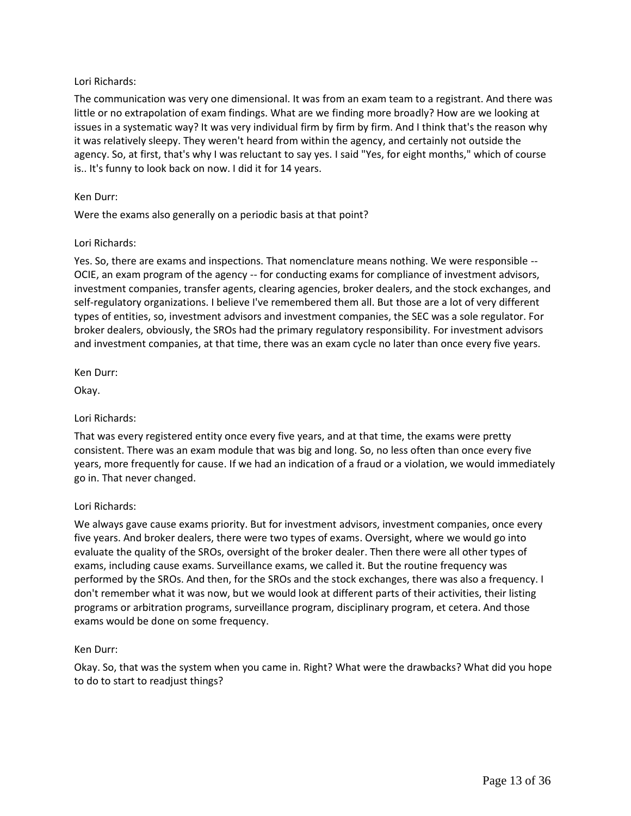The communication was very one dimensional. It was from an exam team to a registrant. And there was little or no extrapolation of exam findings. What are we finding more broadly? How are we looking at issues in a systematic way? It was very individual firm by firm by firm. And I think that's the reason why it was relatively sleepy. They weren't heard from within the agency, and certainly not outside the agency. So, at first, that's why I was reluctant to say yes. I said "Yes, for eight months," which of course is.. It's funny to look back on now. I did it for 14 years.

### Ken Durr:

Were the exams also generally on a periodic basis at that point?

### Lori Richards:

Yes. So, there are exams and inspections. That nomenclature means nothing. We were responsible -- OCIE, an exam program of the agency -- for conducting exams for compliance of investment advisors, investment companies, transfer agents, clearing agencies, broker dealers, and the stock exchanges, and self-regulatory organizations. I believe I've remembered them all. But those are a lot of very different types of entities, so, investment advisors and investment companies, the SEC was a sole regulator. For broker dealers, obviously, the SROs had the primary regulatory responsibility. For investment advisors and investment companies, at that time, there was an exam cycle no later than once every five years.

### Ken Durr:

Okay.

## Lori Richards:

That was every registered entity once every five years, and at that time, the exams were pretty consistent. There was an exam module that was big and long. So, no less often than once every five years, more frequently for cause. If we had an indication of a fraud or a violation, we would immediately go in. That never changed.

#### Lori Richards:

We always gave cause exams priority. But for investment advisors, investment companies, once every five years. And broker dealers, there were two types of exams. Oversight, where we would go into evaluate the quality of the SROs, oversight of the broker dealer. Then there were all other types of exams, including cause exams. Surveillance exams, we called it. But the routine frequency was performed by the SROs. And then, for the SROs and the stock exchanges, there was also a frequency. I don't remember what it was now, but we would look at different parts of their activities, their listing programs or arbitration programs, surveillance program, disciplinary program, et cetera. And those exams would be done on some frequency.

#### Ken Durr:

Okay. So, that was the system when you came in. Right? What were the drawbacks? What did you hope to do to start to readjust things?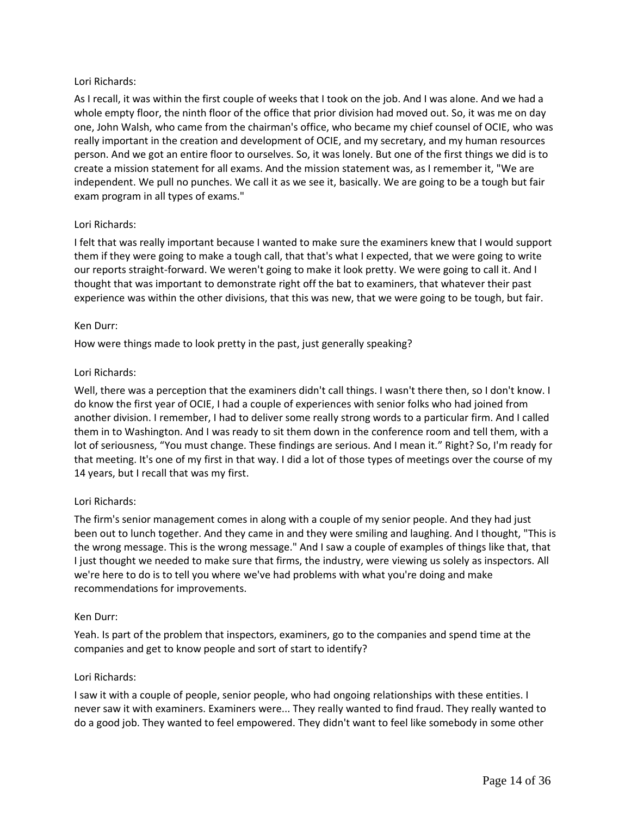As I recall, it was within the first couple of weeks that I took on the job. And I was alone. And we had a whole empty floor, the ninth floor of the office that prior division had moved out. So, it was me on day one, John Walsh, who came from the chairman's office, who became my chief counsel of OCIE, who was really important in the creation and development of OCIE, and my secretary, and my human resources person. And we got an entire floor to ourselves. So, it was lonely. But one of the first things we did is to create a mission statement for all exams. And the mission statement was, as I remember it, "We are independent. We pull no punches. We call it as we see it, basically. We are going to be a tough but fair exam program in all types of exams."

# Lori Richards:

I felt that was really important because I wanted to make sure the examiners knew that I would support them if they were going to make a tough call, that that's what I expected, that we were going to write our reports straight-forward. We weren't going to make it look pretty. We were going to call it. And I thought that was important to demonstrate right off the bat to examiners, that whatever their past experience was within the other divisions, that this was new, that we were going to be tough, but fair.

## Ken Durr:

How were things made to look pretty in the past, just generally speaking?

## Lori Richards:

Well, there was a perception that the examiners didn't call things. I wasn't there then, so I don't know. I do know the first year of OCIE, I had a couple of experiences with senior folks who had joined from another division. I remember, I had to deliver some really strong words to a particular firm. And I called them in to Washington. And I was ready to sit them down in the conference room and tell them, with a lot of seriousness, "You must change. These findings are serious. And I mean it." Right? So, I'm ready for that meeting. It's one of my first in that way. I did a lot of those types of meetings over the course of my 14 years, but I recall that was my first.

## Lori Richards:

The firm's senior management comes in along with a couple of my senior people. And they had just been out to lunch together. And they came in and they were smiling and laughing. And I thought, "This is the wrong message. This is the wrong message." And I saw a couple of examples of things like that, that I just thought we needed to make sure that firms, the industry, were viewing us solely as inspectors. All we're here to do is to tell you where we've had problems with what you're doing and make recommendations for improvements.

#### Ken Durr:

Yeah. Is part of the problem that inspectors, examiners, go to the companies and spend time at the companies and get to know people and sort of start to identify?

## Lori Richards:

I saw it with a couple of people, senior people, who had ongoing relationships with these entities. I never saw it with examiners. Examiners were... They really wanted to find fraud. They really wanted to do a good job. They wanted to feel empowered. They didn't want to feel like somebody in some other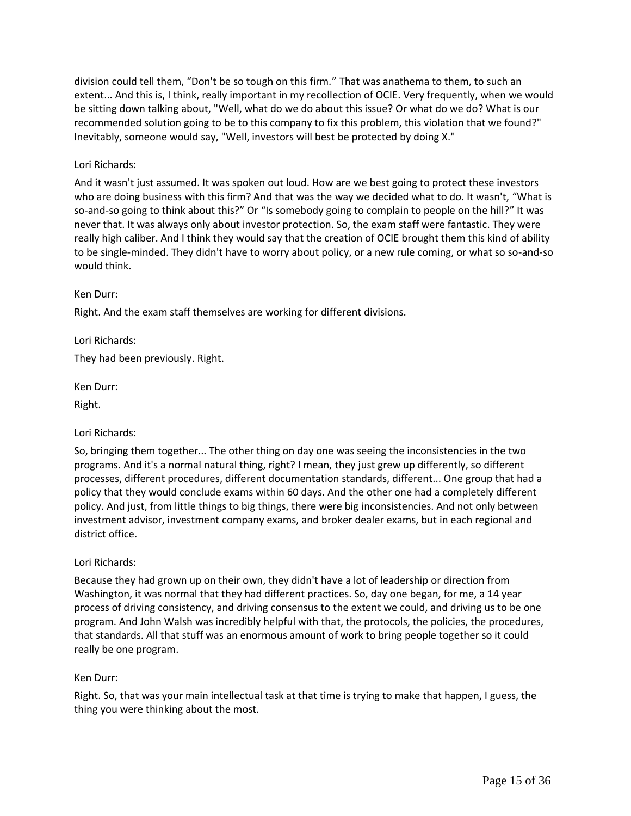division could tell them, "Don't be so tough on this firm." That was anathema to them, to such an extent... And this is, I think, really important in my recollection of OCIE. Very frequently, when we would be sitting down talking about, "Well, what do we do about this issue? Or what do we do? What is our recommended solution going to be to this company to fix this problem, this violation that we found?" Inevitably, someone would say, "Well, investors will best be protected by doing X."

### Lori Richards:

And it wasn't just assumed. It was spoken out loud. How are we best going to protect these investors who are doing business with this firm? And that was the way we decided what to do. It wasn't, "What is so-and-so going to think about this?" Or "Is somebody going to complain to people on the hill?" It was never that. It was always only about investor protection. So, the exam staff were fantastic. They were really high caliber. And I think they would say that the creation of OCIE brought them this kind of ability to be single-minded. They didn't have to worry about policy, or a new rule coming, or what so so-and-so would think.

Ken Durr:

Right. And the exam staff themselves are working for different divisions.

Lori Richards: They had been previously. Right.

Ken Durr:

Right.

## Lori Richards:

So, bringing them together... The other thing on day one was seeing the inconsistencies in the two programs. And it's a normal natural thing, right? I mean, they just grew up differently, so different processes, different procedures, different documentation standards, different... One group that had a policy that they would conclude exams within 60 days. And the other one had a completely different policy. And just, from little things to big things, there were big inconsistencies. And not only between investment advisor, investment company exams, and broker dealer exams, but in each regional and district office.

#### Lori Richards:

Because they had grown up on their own, they didn't have a lot of leadership or direction from Washington, it was normal that they had different practices. So, day one began, for me, a 14 year process of driving consistency, and driving consensus to the extent we could, and driving us to be one program. And John Walsh was incredibly helpful with that, the protocols, the policies, the procedures, that standards. All that stuff was an enormous amount of work to bring people together so it could really be one program.

#### Ken Durr:

Right. So, that was your main intellectual task at that time is trying to make that happen, I guess, the thing you were thinking about the most.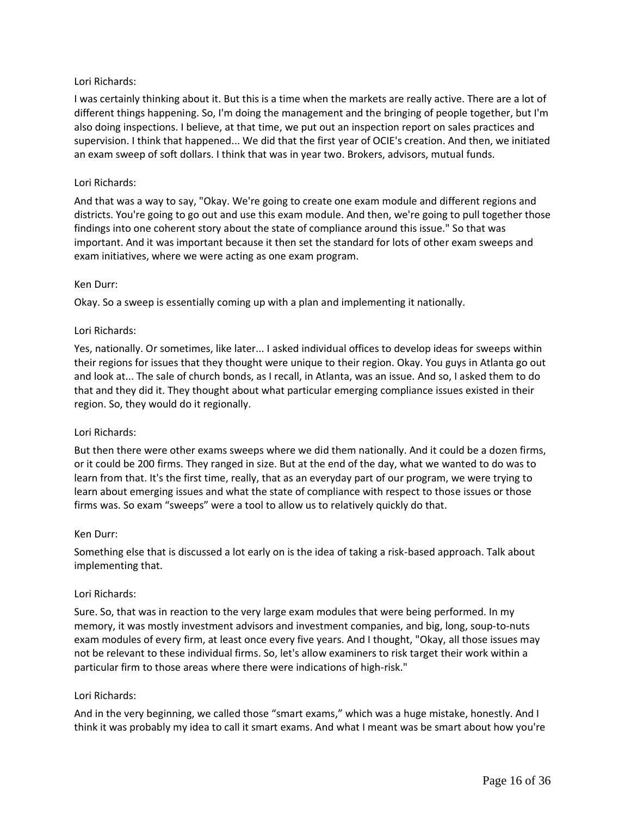I was certainly thinking about it. But this is a time when the markets are really active. There are a lot of different things happening. So, I'm doing the management and the bringing of people together, but I'm also doing inspections. I believe, at that time, we put out an inspection report on sales practices and supervision. I think that happened... We did that the first year of OCIE's creation. And then, we initiated an exam sweep of soft dollars. I think that was in year two. Brokers, advisors, mutual funds.

### Lori Richards:

And that was a way to say, "Okay. We're going to create one exam module and different regions and districts. You're going to go out and use this exam module. And then, we're going to pull together those findings into one coherent story about the state of compliance around this issue." So that was important. And it was important because it then set the standard for lots of other exam sweeps and exam initiatives, where we were acting as one exam program.

#### Ken Durr:

Okay. So a sweep is essentially coming up with a plan and implementing it nationally.

### Lori Richards:

Yes, nationally. Or sometimes, like later... I asked individual offices to develop ideas for sweeps within their regions for issues that they thought were unique to their region. Okay. You guys in Atlanta go out and look at... The sale of church bonds, as I recall, in Atlanta, was an issue. And so, I asked them to do that and they did it. They thought about what particular emerging compliance issues existed in their region. So, they would do it regionally.

#### Lori Richards:

But then there were other exams sweeps where we did them nationally. And it could be a dozen firms, or it could be 200 firms. They ranged in size. But at the end of the day, what we wanted to do was to learn from that. It's the first time, really, that as an everyday part of our program, we were trying to learn about emerging issues and what the state of compliance with respect to those issues or those firms was. So exam "sweeps" were a tool to allow us to relatively quickly do that.

#### Ken Durr:

Something else that is discussed a lot early on is the idea of taking a risk-based approach. Talk about implementing that.

#### Lori Richards:

Sure. So, that was in reaction to the very large exam modules that were being performed. In my memory, it was mostly investment advisors and investment companies, and big, long, soup-to-nuts exam modules of every firm, at least once every five years. And I thought, "Okay, all those issues may not be relevant to these individual firms. So, let's allow examiners to risk target their work within a particular firm to those areas where there were indications of high-risk."

#### Lori Richards:

And in the very beginning, we called those "smart exams," which was a huge mistake, honestly. And I think it was probably my idea to call it smart exams. And what I meant was be smart about how you're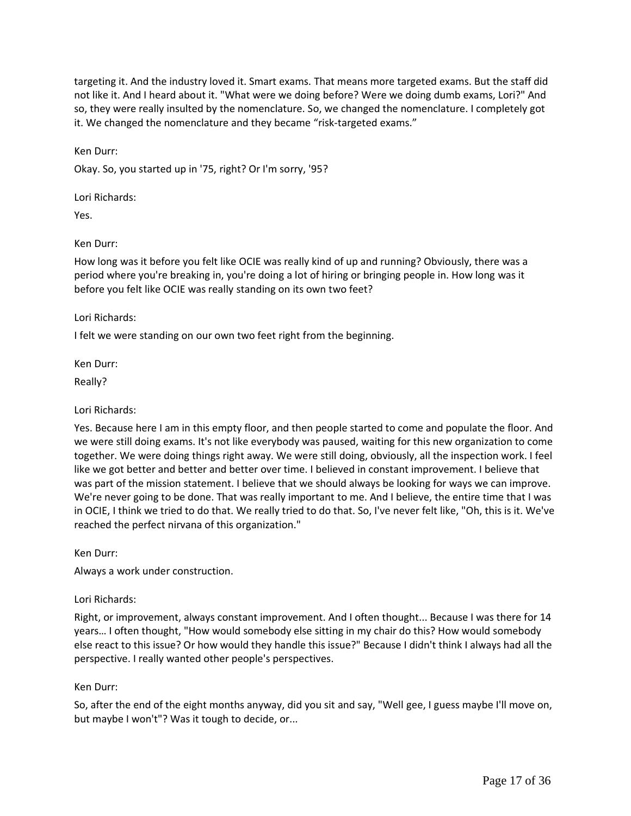targeting it. And the industry loved it. Smart exams. That means more targeted exams. But the staff did not like it. And I heard about it. "What were we doing before? Were we doing dumb exams, Lori?" And so, they were really insulted by the nomenclature. So, we changed the nomenclature. I completely got it. We changed the nomenclature and they became "risk-targeted exams."

Ken Durr:

Okay. So, you started up in '75, right? Or I'm sorry, '95?

Lori Richards:

Yes.

Ken Durr:

How long was it before you felt like OCIE was really kind of up and running? Obviously, there was a period where you're breaking in, you're doing a lot of hiring or bringing people in. How long was it before you felt like OCIE was really standing on its own two feet?

Lori Richards:

I felt we were standing on our own two feet right from the beginning.

Ken Durr:

Really?

Lori Richards:

Yes. Because here I am in this empty floor, and then people started to come and populate the floor. And we were still doing exams. It's not like everybody was paused, waiting for this new organization to come together. We were doing things right away. We were still doing, obviously, all the inspection work. I feel like we got better and better and better over time. I believed in constant improvement. I believe that was part of the mission statement. I believe that we should always be looking for ways we can improve. We're never going to be done. That was really important to me. And I believe, the entire time that I was in OCIE, I think we tried to do that. We really tried to do that. So, I've never felt like, "Oh, this is it. We've reached the perfect nirvana of this organization."

Ken Durr:

Always a work under construction.

#### Lori Richards:

Right, or improvement, always constant improvement. And I often thought... Because I was there for 14 years… I often thought, "How would somebody else sitting in my chair do this? How would somebody else react to this issue? Or how would they handle this issue?" Because I didn't think I always had all the perspective. I really wanted other people's perspectives.

#### Ken Durr:

So, after the end of the eight months anyway, did you sit and say, "Well gee, I guess maybe I'll move on, but maybe I won't"? Was it tough to decide, or...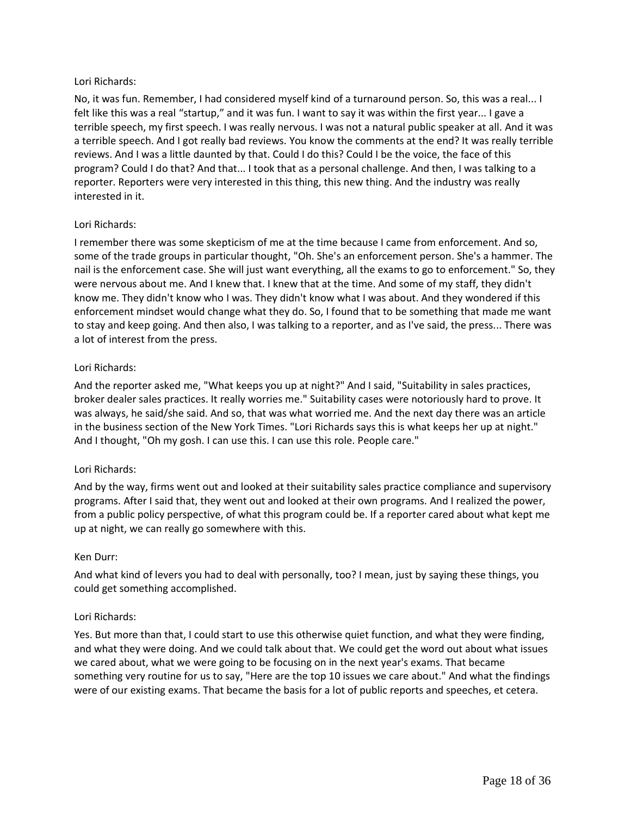No, it was fun. Remember, I had considered myself kind of a turnaround person. So, this was a real... I felt like this was a real "startup," and it was fun. I want to say it was within the first year... I gave a terrible speech, my first speech. I was really nervous. I was not a natural public speaker at all. And it was a terrible speech. And I got really bad reviews. You know the comments at the end? It was really terrible reviews. And I was a little daunted by that. Could I do this? Could I be the voice, the face of this program? Could I do that? And that... I took that as a personal challenge. And then, I was talking to a reporter. Reporters were very interested in this thing, this new thing. And the industry was really interested in it.

# Lori Richards:

I remember there was some skepticism of me at the time because I came from enforcement. And so, some of the trade groups in particular thought, "Oh. She's an enforcement person. She's a hammer. The nail is the enforcement case. She will just want everything, all the exams to go to enforcement." So, they were nervous about me. And I knew that. I knew that at the time. And some of my staff, they didn't know me. They didn't know who I was. They didn't know what I was about. And they wondered if this enforcement mindset would change what they do. So, I found that to be something that made me want to stay and keep going. And then also, I was talking to a reporter, and as I've said, the press... There was a lot of interest from the press.

# Lori Richards:

And the reporter asked me, "What keeps you up at night?" And I said, "Suitability in sales practices, broker dealer sales practices. It really worries me." Suitability cases were notoriously hard to prove. It was always, he said/she said. And so, that was what worried me. And the next day there was an article in the business section of the New York Times. "Lori Richards says this is what keeps her up at night." And I thought, "Oh my gosh. I can use this. I can use this role. People care."

## Lori Richards:

And by the way, firms went out and looked at their suitability sales practice compliance and supervisory programs. After I said that, they went out and looked at their own programs. And I realized the power, from a public policy perspective, of what this program could be. If a reporter cared about what kept me up at night, we can really go somewhere with this.

## Ken Durr:

And what kind of levers you had to deal with personally, too? I mean, just by saying these things, you could get something accomplished.

## Lori Richards:

Yes. But more than that, I could start to use this otherwise quiet function, and what they were finding, and what they were doing. And we could talk about that. We could get the word out about what issues we cared about, what we were going to be focusing on in the next year's exams. That became something very routine for us to say, "Here are the top 10 issues we care about." And what the findings were of our existing exams. That became the basis for a lot of public reports and speeches, et cetera.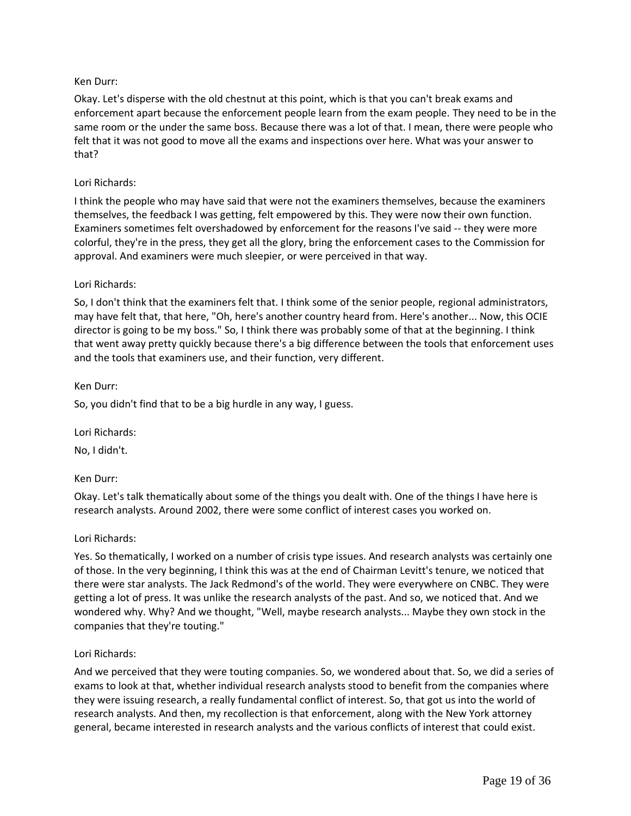### Ken Durr:

Okay. Let's disperse with the old chestnut at this point, which is that you can't break exams and enforcement apart because the enforcement people learn from the exam people. They need to be in the same room or the under the same boss. Because there was a lot of that. I mean, there were people who felt that it was not good to move all the exams and inspections over here. What was your answer to that?

### Lori Richards:

I think the people who may have said that were not the examiners themselves, because the examiners themselves, the feedback I was getting, felt empowered by this. They were now their own function. Examiners sometimes felt overshadowed by enforcement for the reasons I've said -- they were more colorful, they're in the press, they get all the glory, bring the enforcement cases to the Commission for approval. And examiners were much sleepier, or were perceived in that way.

### Lori Richards:

So, I don't think that the examiners felt that. I think some of the senior people, regional administrators, may have felt that, that here, "Oh, here's another country heard from. Here's another... Now, this OCIE director is going to be my boss." So, I think there was probably some of that at the beginning. I think that went away pretty quickly because there's a big difference between the tools that enforcement uses and the tools that examiners use, and their function, very different.

#### Ken Durr:

So, you didn't find that to be a big hurdle in any way, I guess.

Lori Richards:

No, I didn't.

## Ken Durr:

Okay. Let's talk thematically about some of the things you dealt with. One of the things I have here is research analysts. Around 2002, there were some conflict of interest cases you worked on.

#### Lori Richards:

Yes. So thematically, I worked on a number of crisis type issues. And research analysts was certainly one of those. In the very beginning, I think this was at the end of Chairman Levitt's tenure, we noticed that there were star analysts. The Jack Redmond's of the world. They were everywhere on CNBC. They were getting a lot of press. It was unlike the research analysts of the past. And so, we noticed that. And we wondered why. Why? And we thought, "Well, maybe research analysts... Maybe they own stock in the companies that they're touting."

## Lori Richards:

And we perceived that they were touting companies. So, we wondered about that. So, we did a series of exams to look at that, whether individual research analysts stood to benefit from the companies where they were issuing research, a really fundamental conflict of interest. So, that got us into the world of research analysts. And then, my recollection is that enforcement, along with the New York attorney general, became interested in research analysts and the various conflicts of interest that could exist.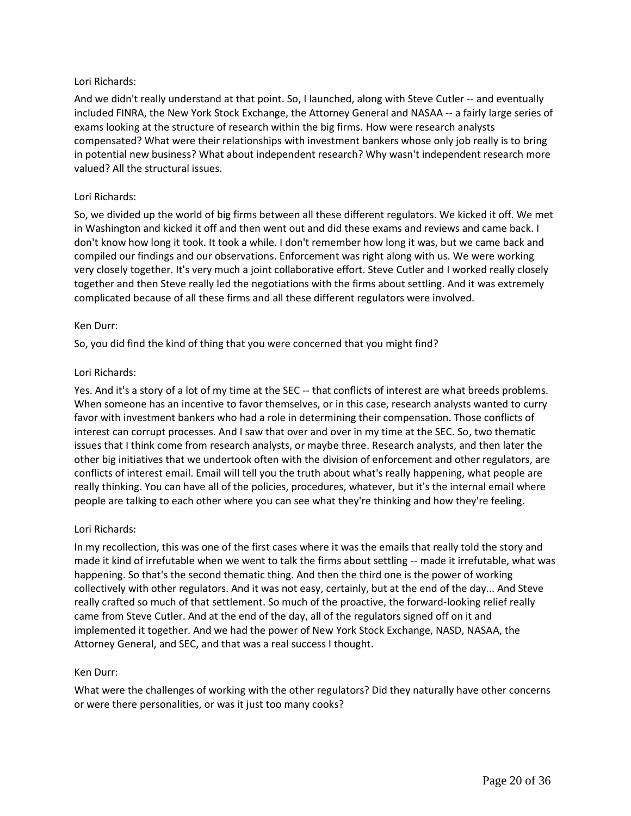And we didn't really understand at that point. So, I launched, along with Steve Cutler -- and eventually included FINRA, the New York Stock Exchange, the Attorney General and NASAA -- a fairly large series of exams looking at the structure of research within the big firms. How were research analysts compensated? What were their relationships with investment bankers whose only job really is to bring in potential new business? What about independent research? Why wasn't independent research more valued? All the structural issues.

### Lori Richards:

So, we divided up the world of big firms between all these different regulators. We kicked it off. We met in Washington and kicked it off and then went out and did these exams and reviews and came back. I don't know how long it took. It took a while. I don't remember how long it was, but we came back and compiled our findings and our observations. Enforcement was right along with us. We were working very closely together. It's very much a joint collaborative effort. Steve Cutler and I worked really closely together and then Steve really led the negotiations with the firms about settling. And it was extremely complicated because of all these firms and all these different regulators were involved.

### Ken Durr:

So, you did find the kind of thing that you were concerned that you might find?

### Lori Richards:

Yes. And it's a story of a lot of my time at the SEC -- that conflicts of interest are what breeds problems. When someone has an incentive to favor themselves, or in this case, research analysts wanted to curry favor with investment bankers who had a role in determining their compensation. Those conflicts of interest can corrupt processes. And I saw that over and over in my time at the SEC. So, two thematic issues that I think come from research analysts, or maybe three. Research analysts, and then later the other big initiatives that we undertook often with the division of enforcement and other regulators, are conflicts of interest email. Email will tell you the truth about what's really happening, what people are really thinking. You can have all of the policies, procedures, whatever, but it's the internal email where people are talking to each other where you can see what they're thinking and how they're feeling.

## Lori Richards:

In my recollection, this was one of the first cases where it was the emails that really told the story and made it kind of irrefutable when we went to talk the firms about settling -- made it irrefutable, what was happening. So that's the second thematic thing. And then the third one is the power of working collectively with other regulators. And it was not easy, certainly, but at the end of the day... And Steve really crafted so much of that settlement. So much of the proactive, the forward-looking relief really came from Steve Cutler. And at the end of the day, all of the regulators signed off on it and implemented it together. And we had the power of New York Stock Exchange, NASD, NASAA, the Attorney General, and SEC, and that was a real success I thought.

#### Ken Durr:

What were the challenges of working with the other regulators? Did they naturally have other concerns or were there personalities, or was it just too many cooks?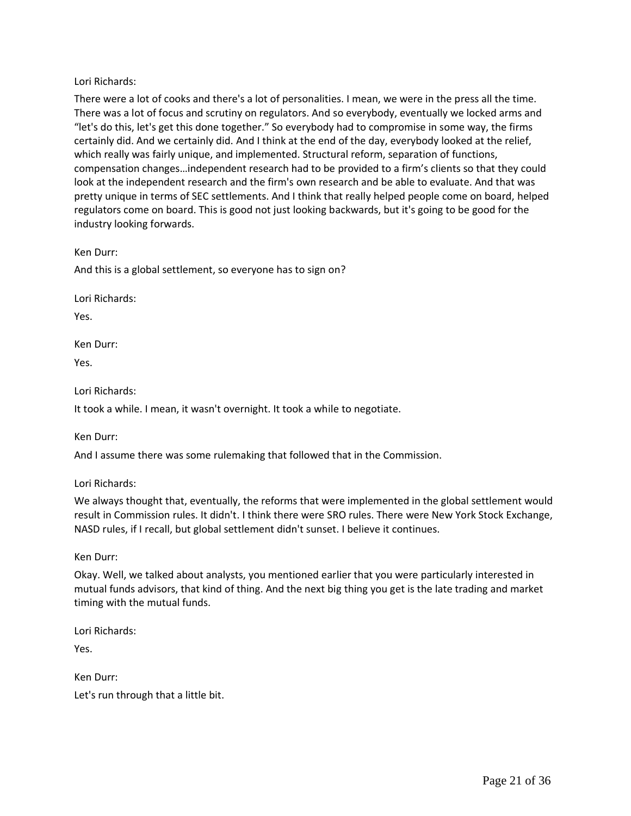There were a lot of cooks and there's a lot of personalities. I mean, we were in the press all the time. There was a lot of focus and scrutiny on regulators. And so everybody, eventually we locked arms and "let's do this, let's get this done together." So everybody had to compromise in some way, the firms certainly did. And we certainly did. And I think at the end of the day, everybody looked at the relief, which really was fairly unique, and implemented. Structural reform, separation of functions, compensation changes…independent research had to be provided to a firm's clients so that they could look at the independent research and the firm's own research and be able to evaluate. And that was pretty unique in terms of SEC settlements. And I think that really helped people come on board, helped regulators come on board. This is good not just looking backwards, but it's going to be good for the industry looking forwards.

Ken Durr:

And this is a global settlement, so everyone has to sign on?

Lori Richards:

Yes.

Ken Durr:

Yes.

Lori Richards:

It took a while. I mean, it wasn't overnight. It took a while to negotiate.

Ken Durr:

And I assume there was some rulemaking that followed that in the Commission.

Lori Richards:

We always thought that, eventually, the reforms that were implemented in the global settlement would result in Commission rules. It didn't. I think there were SRO rules. There were New York Stock Exchange, NASD rules, if I recall, but global settlement didn't sunset. I believe it continues.

Ken Durr:

Okay. Well, we talked about analysts, you mentioned earlier that you were particularly interested in mutual funds advisors, that kind of thing. And the next big thing you get is the late trading and market timing with the mutual funds.

Lori Richards:

Yes.

Ken Durr: Let's run through that a little bit.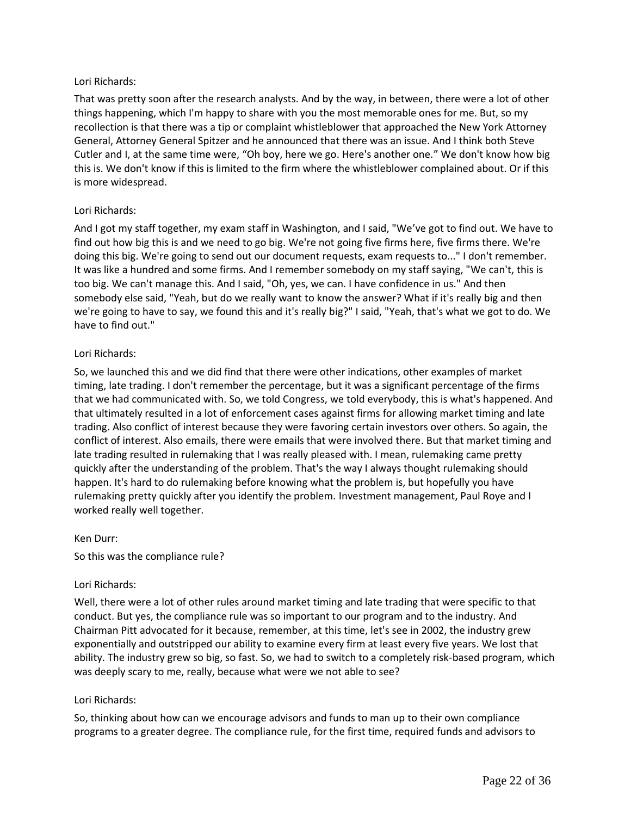That was pretty soon after the research analysts. And by the way, in between, there were a lot of other things happening, which I'm happy to share with you the most memorable ones for me. But, so my recollection is that there was a tip or complaint whistleblower that approached the New York Attorney General, Attorney General Spitzer and he announced that there was an issue. And I think both Steve Cutler and I, at the same time were, "Oh boy, here we go. Here's another one." We don't know how big this is. We don't know if this is limited to the firm where the whistleblower complained about. Or if this is more widespread.

# Lori Richards:

And I got my staff together, my exam staff in Washington, and I said, "We've got to find out. We have to find out how big this is and we need to go big. We're not going five firms here, five firms there. We're doing this big. We're going to send out our document requests, exam requests to..." I don't remember. It was like a hundred and some firms. And I remember somebody on my staff saying, "We can't, this is too big. We can't manage this. And I said, "Oh, yes, we can. I have confidence in us." And then somebody else said, "Yeah, but do we really want to know the answer? What if it's really big and then we're going to have to say, we found this and it's really big?" I said, "Yeah, that's what we got to do. We have to find out."

# Lori Richards:

So, we launched this and we did find that there were other indications, other examples of market timing, late trading. I don't remember the percentage, but it was a significant percentage of the firms that we had communicated with. So, we told Congress, we told everybody, this is what's happened. And that ultimately resulted in a lot of enforcement cases against firms for allowing market timing and late trading. Also conflict of interest because they were favoring certain investors over others. So again, the conflict of interest. Also emails, there were emails that were involved there. But that market timing and late trading resulted in rulemaking that I was really pleased with. I mean, rulemaking came pretty quickly after the understanding of the problem. That's the way I always thought rulemaking should happen. It's hard to do rulemaking before knowing what the problem is, but hopefully you have rulemaking pretty quickly after you identify the problem. Investment management, Paul Roye and I worked really well together.

## Ken Durr:

So this was the compliance rule?

# Lori Richards:

Well, there were a lot of other rules around market timing and late trading that were specific to that conduct. But yes, the compliance rule was so important to our program and to the industry. And Chairman Pitt advocated for it because, remember, at this time, let's see in 2002, the industry grew exponentially and outstripped our ability to examine every firm at least every five years. We lost that ability. The industry grew so big, so fast. So, we had to switch to a completely risk-based program, which was deeply scary to me, really, because what were we not able to see?

## Lori Richards:

So, thinking about how can we encourage advisors and funds to man up to their own compliance programs to a greater degree. The compliance rule, for the first time, required funds and advisors to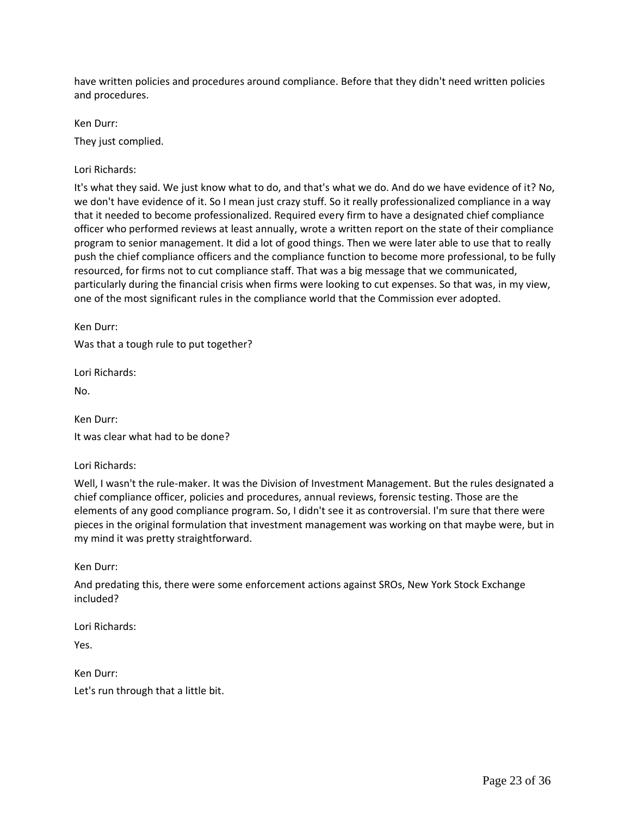have written policies and procedures around compliance. Before that they didn't need written policies and procedures.

Ken Durr:

They just complied.

Lori Richards:

It's what they said. We just know what to do, and that's what we do. And do we have evidence of it? No, we don't have evidence of it. So I mean just crazy stuff. So it really professionalized compliance in a way that it needed to become professionalized. Required every firm to have a designated chief compliance officer who performed reviews at least annually, wrote a written report on the state of their compliance program to senior management. It did a lot of good things. Then we were later able to use that to really push the chief compliance officers and the compliance function to become more professional, to be fully resourced, for firms not to cut compliance staff. That was a big message that we communicated, particularly during the financial crisis when firms were looking to cut expenses. So that was, in my view, one of the most significant rules in the compliance world that the Commission ever adopted.

Ken Durr:

Was that a tough rule to put together?

Lori Richards:

No.

Ken Durr: It was clear what had to be done?

Lori Richards:

Well, I wasn't the rule-maker. It was the Division of Investment Management. But the rules designated a chief compliance officer, policies and procedures, annual reviews, forensic testing. Those are the elements of any good compliance program. So, I didn't see it as controversial. I'm sure that there were pieces in the original formulation that investment management was working on that maybe were, but in my mind it was pretty straightforward.

Ken Durr:

And predating this, there were some enforcement actions against SROs, New York Stock Exchange included?

Lori Richards:

Yes.

Ken Durr: Let's run through that a little bit.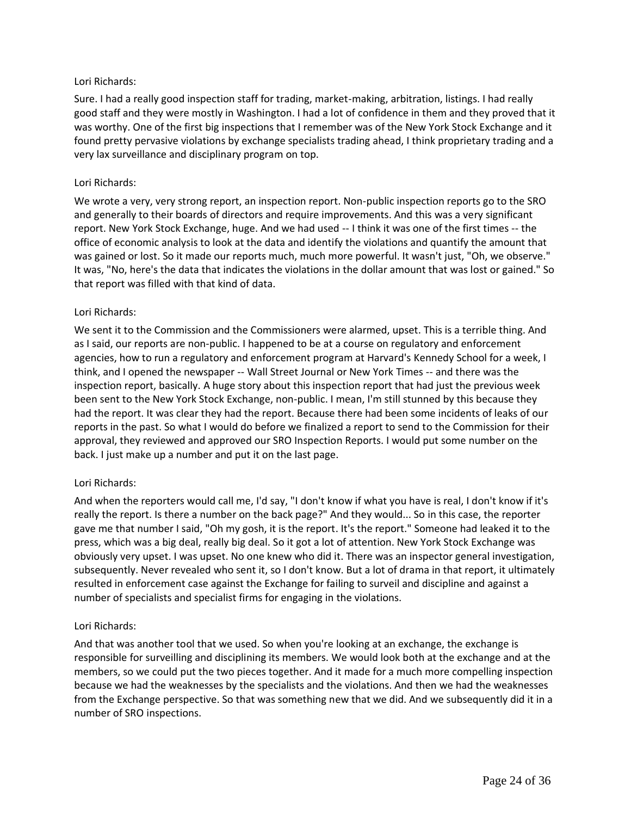Sure. I had a really good inspection staff for trading, market-making, arbitration, listings. I had really good staff and they were mostly in Washington. I had a lot of confidence in them and they proved that it was worthy. One of the first big inspections that I remember was of the New York Stock Exchange and it found pretty pervasive violations by exchange specialists trading ahead, I think proprietary trading and a very lax surveillance and disciplinary program on top.

## Lori Richards:

We wrote a very, very strong report, an inspection report. Non-public inspection reports go to the SRO and generally to their boards of directors and require improvements. And this was a very significant report. New York Stock Exchange, huge. And we had used -- I think it was one of the first times -- the office of economic analysis to look at the data and identify the violations and quantify the amount that was gained or lost. So it made our reports much, much more powerful. It wasn't just, "Oh, we observe." It was, "No, here's the data that indicates the violations in the dollar amount that was lost or gained." So that report was filled with that kind of data.

# Lori Richards:

We sent it to the Commission and the Commissioners were alarmed, upset. This is a terrible thing. And as I said, our reports are non-public. I happened to be at a course on regulatory and enforcement agencies, how to run a regulatory and enforcement program at Harvard's Kennedy School for a week, I think, and I opened the newspaper -- Wall Street Journal or New York Times -- and there was the inspection report, basically. A huge story about this inspection report that had just the previous week been sent to the New York Stock Exchange, non-public. I mean, I'm still stunned by this because they had the report. It was clear they had the report. Because there had been some incidents of leaks of our reports in the past. So what I would do before we finalized a report to send to the Commission for their approval, they reviewed and approved our SRO Inspection Reports. I would put some number on the back. I just make up a number and put it on the last page.

## Lori Richards:

And when the reporters would call me, I'd say, "I don't know if what you have is real, I don't know if it's really the report. Is there a number on the back page?" And they would... So in this case, the reporter gave me that number I said, "Oh my gosh, it is the report. It's the report." Someone had leaked it to the press, which was a big deal, really big deal. So it got a lot of attention. New York Stock Exchange was obviously very upset. I was upset. No one knew who did it. There was an inspector general investigation, subsequently. Never revealed who sent it, so I don't know. But a lot of drama in that report, it ultimately resulted in enforcement case against the Exchange for failing to surveil and discipline and against a number of specialists and specialist firms for engaging in the violations.

## Lori Richards:

And that was another tool that we used. So when you're looking at an exchange, the exchange is responsible for surveilling and disciplining its members. We would look both at the exchange and at the members, so we could put the two pieces together. And it made for a much more compelling inspection because we had the weaknesses by the specialists and the violations. And then we had the weaknesses from the Exchange perspective. So that was something new that we did. And we subsequently did it in a number of SRO inspections.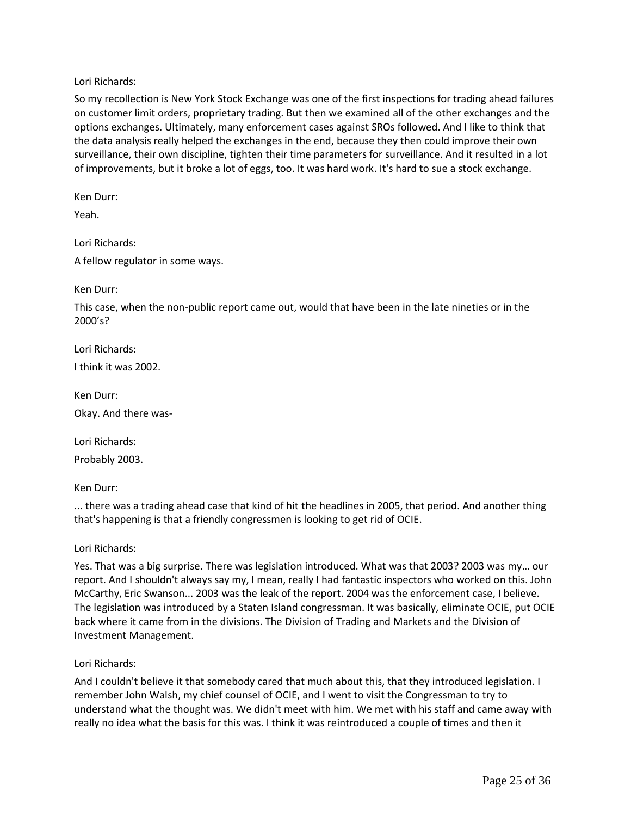So my recollection is New York Stock Exchange was one of the first inspections for trading ahead failures on customer limit orders, proprietary trading. But then we examined all of the other exchanges and the options exchanges. Ultimately, many enforcement cases against SROs followed. And I like to think that the data analysis really helped the exchanges in the end, because they then could improve their own surveillance, their own discipline, tighten their time parameters for surveillance. And it resulted in a lot of improvements, but it broke a lot of eggs, too. It was hard work. It's hard to sue a stock exchange.

Ken Durr:

Yeah.

Lori Richards:

A fellow regulator in some ways.

Ken Durr:

This case, when the non-public report came out, would that have been in the late nineties or in the 2000's?

Lori Richards:

I think it was 2002.

Ken Durr:

Okay. And there was-

Lori Richards:

Probably 2003.

Ken Durr:

... there was a trading ahead case that kind of hit the headlines in 2005, that period. And another thing that's happening is that a friendly congressmen is looking to get rid of OCIE.

Lori Richards:

Yes. That was a big surprise. There was legislation introduced. What was that 2003? 2003 was my… our report. And I shouldn't always say my, I mean, really I had fantastic inspectors who worked on this. John McCarthy, Eric Swanson... 2003 was the leak of the report. 2004 was the enforcement case, I believe. The legislation was introduced by a Staten Island congressman. It was basically, eliminate OCIE, put OCIE back where it came from in the divisions. The Division of Trading and Markets and the Division of Investment Management.

Lori Richards:

And I couldn't believe it that somebody cared that much about this, that they introduced legislation. I remember John Walsh, my chief counsel of OCIE, and I went to visit the Congressman to try to understand what the thought was. We didn't meet with him. We met with his staff and came away with really no idea what the basis for this was. I think it was reintroduced a couple of times and then it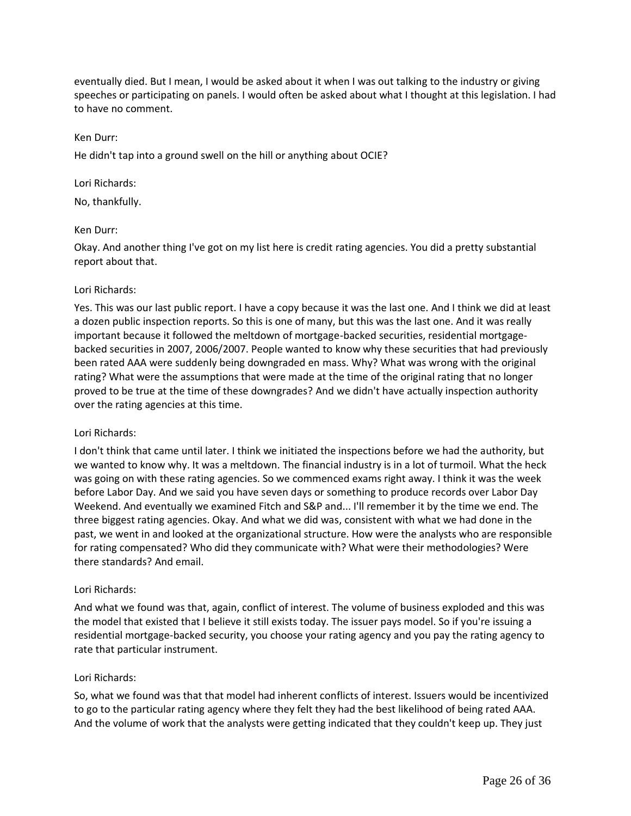eventually died. But I mean, I would be asked about it when I was out talking to the industry or giving speeches or participating on panels. I would often be asked about what I thought at this legislation. I had to have no comment.

### Ken Durr:

He didn't tap into a ground swell on the hill or anything about OCIE?

### Lori Richards:

No, thankfully.

### Ken Durr:

Okay. And another thing I've got on my list here is credit rating agencies. You did a pretty substantial report about that.

### Lori Richards:

Yes. This was our last public report. I have a copy because it was the last one. And I think we did at least a dozen public inspection reports. So this is one of many, but this was the last one. And it was really important because it followed the meltdown of mortgage-backed securities, residential mortgagebacked securities in 2007, 2006/2007. People wanted to know why these securities that had previously been rated AAA were suddenly being downgraded en mass. Why? What was wrong with the original rating? What were the assumptions that were made at the time of the original rating that no longer proved to be true at the time of these downgrades? And we didn't have actually inspection authority over the rating agencies at this time.

## Lori Richards:

I don't think that came until later. I think we initiated the inspections before we had the authority, but we wanted to know why. It was a meltdown. The financial industry is in a lot of turmoil. What the heck was going on with these rating agencies. So we commenced exams right away. I think it was the week before Labor Day. And we said you have seven days or something to produce records over Labor Day Weekend. And eventually we examined Fitch and S&P and... I'll remember it by the time we end. The three biggest rating agencies. Okay. And what we did was, consistent with what we had done in the past, we went in and looked at the organizational structure. How were the analysts who are responsible for rating compensated? Who did they communicate with? What were their methodologies? Were there standards? And email.

## Lori Richards:

And what we found was that, again, conflict of interest. The volume of business exploded and this was the model that existed that I believe it still exists today. The issuer pays model. So if you're issuing a residential mortgage-backed security, you choose your rating agency and you pay the rating agency to rate that particular instrument.

## Lori Richards:

So, what we found was that that model had inherent conflicts of interest. Issuers would be incentivized to go to the particular rating agency where they felt they had the best likelihood of being rated AAA. And the volume of work that the analysts were getting indicated that they couldn't keep up. They just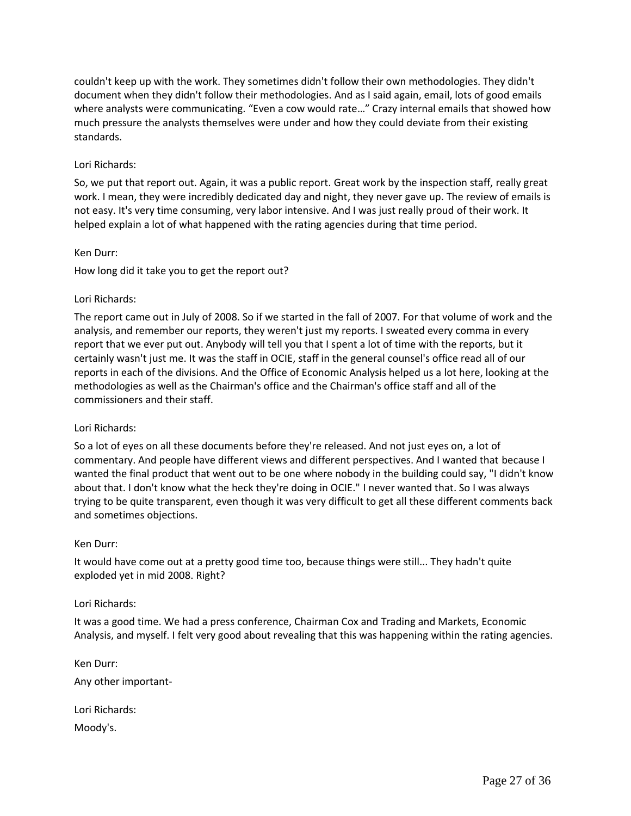couldn't keep up with the work. They sometimes didn't follow their own methodologies. They didn't document when they didn't follow their methodologies. And as I said again, email, lots of good emails where analysts were communicating. "Even a cow would rate..." Crazy internal emails that showed how much pressure the analysts themselves were under and how they could deviate from their existing standards.

# Lori Richards:

So, we put that report out. Again, it was a public report. Great work by the inspection staff, really great work. I mean, they were incredibly dedicated day and night, they never gave up. The review of emails is not easy. It's very time consuming, very labor intensive. And I was just really proud of their work. It helped explain a lot of what happened with the rating agencies during that time period.

## Ken Durr:

How long did it take you to get the report out?

### Lori Richards:

The report came out in July of 2008. So if we started in the fall of 2007. For that volume of work and the analysis, and remember our reports, they weren't just my reports. I sweated every comma in every report that we ever put out. Anybody will tell you that I spent a lot of time with the reports, but it certainly wasn't just me. It was the staff in OCIE, staff in the general counsel's office read all of our reports in each of the divisions. And the Office of Economic Analysis helped us a lot here, looking at the methodologies as well as the Chairman's office and the Chairman's office staff and all of the commissioners and their staff.

## Lori Richards:

So a lot of eyes on all these documents before they're released. And not just eyes on, a lot of commentary. And people have different views and different perspectives. And I wanted that because I wanted the final product that went out to be one where nobody in the building could say, "I didn't know about that. I don't know what the heck they're doing in OCIE." I never wanted that. So I was always trying to be quite transparent, even though it was very difficult to get all these different comments back and sometimes objections.

#### Ken Durr:

It would have come out at a pretty good time too, because things were still... They hadn't quite exploded yet in mid 2008. Right?

#### Lori Richards:

Moody's.

It was a good time. We had a press conference, Chairman Cox and Trading and Markets, Economic Analysis, and myself. I felt very good about revealing that this was happening within the rating agencies.

Ken Durr: Any other important-Lori Richards: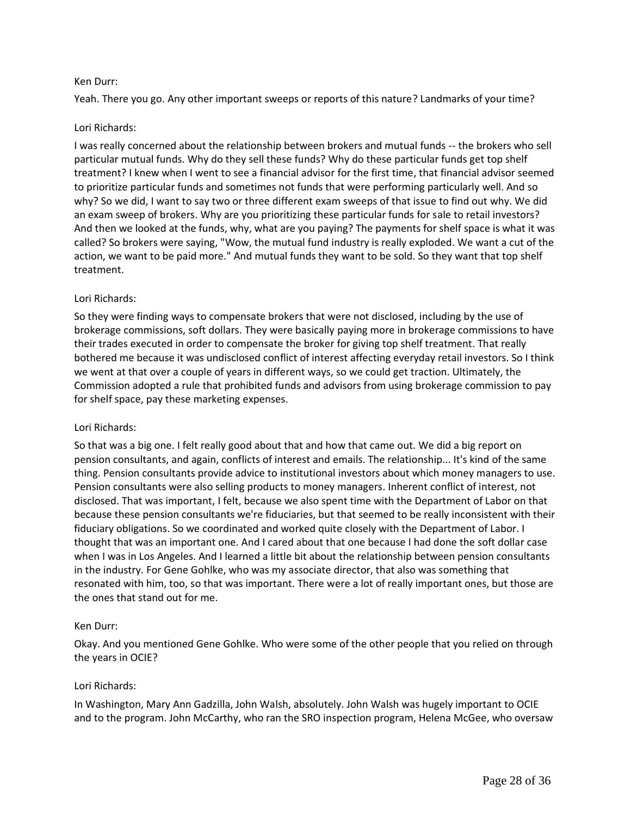### Ken Durr:

Yeah. There you go. Any other important sweeps or reports of this nature? Landmarks of your time?

### Lori Richards:

I was really concerned about the relationship between brokers and mutual funds -- the brokers who sell particular mutual funds. Why do they sell these funds? Why do these particular funds get top shelf treatment? I knew when I went to see a financial advisor for the first time, that financial advisor seemed to prioritize particular funds and sometimes not funds that were performing particularly well. And so why? So we did, I want to say two or three different exam sweeps of that issue to find out why. We did an exam sweep of brokers. Why are you prioritizing these particular funds for sale to retail investors? And then we looked at the funds, why, what are you paying? The payments for shelf space is what it was called? So brokers were saying, "Wow, the mutual fund industry is really exploded. We want a cut of the action, we want to be paid more." And mutual funds they want to be sold. So they want that top shelf treatment.

### Lori Richards:

So they were finding ways to compensate brokers that were not disclosed, including by the use of brokerage commissions, soft dollars. They were basically paying more in brokerage commissions to have their trades executed in order to compensate the broker for giving top shelf treatment. That really bothered me because it was undisclosed conflict of interest affecting everyday retail investors. So I think we went at that over a couple of years in different ways, so we could get traction. Ultimately, the Commission adopted a rule that prohibited funds and advisors from using brokerage commission to pay for shelf space, pay these marketing expenses.

#### Lori Richards:

So that was a big one. I felt really good about that and how that came out. We did a big report on pension consultants, and again, conflicts of interest and emails. The relationship... It's kind of the same thing. Pension consultants provide advice to institutional investors about which money managers to use. Pension consultants were also selling products to money managers. Inherent conflict of interest, not disclosed. That was important, I felt, because we also spent time with the Department of Labor on that because these pension consultants we're fiduciaries, but that seemed to be really inconsistent with their fiduciary obligations. So we coordinated and worked quite closely with the Department of Labor. I thought that was an important one. And I cared about that one because I had done the soft dollar case when I was in Los Angeles. And I learned a little bit about the relationship between pension consultants in the industry. For Gene Gohlke, who was my associate director, that also was something that resonated with him, too, so that was important. There were a lot of really important ones, but those are the ones that stand out for me.

## Ken Durr:

Okay. And you mentioned Gene Gohlke. Who were some of the other people that you relied on through the years in OCIE?

## Lori Richards:

In Washington, Mary Ann Gadzilla, John Walsh, absolutely. John Walsh was hugely important to OCIE and to the program. John McCarthy, who ran the SRO inspection program, Helena McGee, who oversaw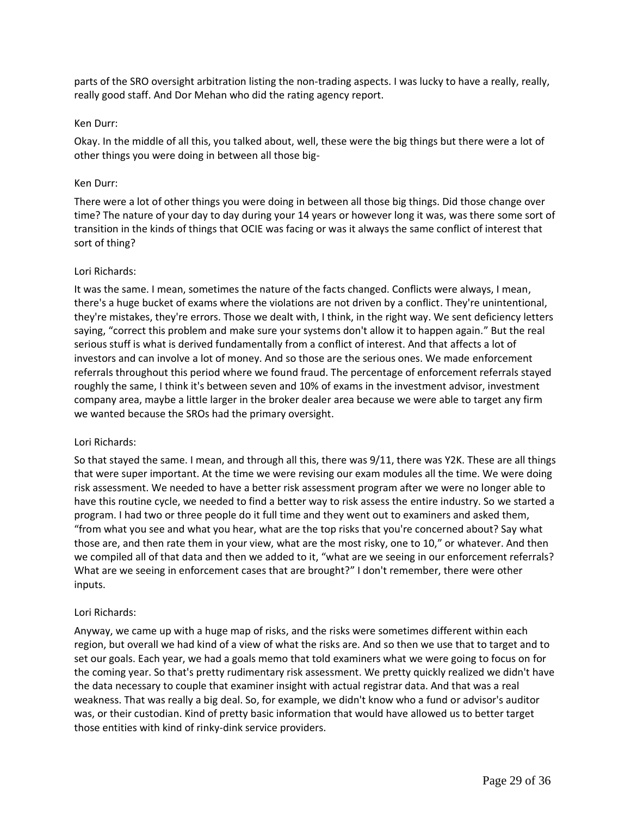parts of the SRO oversight arbitration listing the non-trading aspects. I was lucky to have a really, really, really good staff. And Dor Mehan who did the rating agency report.

### Ken Durr:

Okay. In the middle of all this, you talked about, well, these were the big things but there were a lot of other things you were doing in between all those big-

### Ken Durr:

There were a lot of other things you were doing in between all those big things. Did those change over time? The nature of your day to day during your 14 years or however long it was, was there some sort of transition in the kinds of things that OCIE was facing or was it always the same conflict of interest that sort of thing?

### Lori Richards:

It was the same. I mean, sometimes the nature of the facts changed. Conflicts were always, I mean, there's a huge bucket of exams where the violations are not driven by a conflict. They're unintentional, they're mistakes, they're errors. Those we dealt with, I think, in the right way. We sent deficiency letters saying, "correct this problem and make sure your systems don't allow it to happen again." But the real serious stuff is what is derived fundamentally from a conflict of interest. And that affects a lot of investors and can involve a lot of money. And so those are the serious ones. We made enforcement referrals throughout this period where we found fraud. The percentage of enforcement referrals stayed roughly the same, I think it's between seven and 10% of exams in the investment advisor, investment company area, maybe a little larger in the broker dealer area because we were able to target any firm we wanted because the SROs had the primary oversight.

## Lori Richards:

So that stayed the same. I mean, and through all this, there was 9/11, there was Y2K. These are all things that were super important. At the time we were revising our exam modules all the time. We were doing risk assessment. We needed to have a better risk assessment program after we were no longer able to have this routine cycle, we needed to find a better way to risk assess the entire industry. So we started a program. I had two or three people do it full time and they went out to examiners and asked them, "from what you see and what you hear, what are the top risks that you're concerned about? Say what those are, and then rate them in your view, what are the most risky, one to 10," or whatever. And then we compiled all of that data and then we added to it, "what are we seeing in our enforcement referrals? What are we seeing in enforcement cases that are brought?" I don't remember, there were other inputs.

## Lori Richards:

Anyway, we came up with a huge map of risks, and the risks were sometimes different within each region, but overall we had kind of a view of what the risks are. And so then we use that to target and to set our goals. Each year, we had a goals memo that told examiners what we were going to focus on for the coming year. So that's pretty rudimentary risk assessment. We pretty quickly realized we didn't have the data necessary to couple that examiner insight with actual registrar data. And that was a real weakness. That was really a big deal. So, for example, we didn't know who a fund or advisor's auditor was, or their custodian. Kind of pretty basic information that would have allowed us to better target those entities with kind of rinky-dink service providers.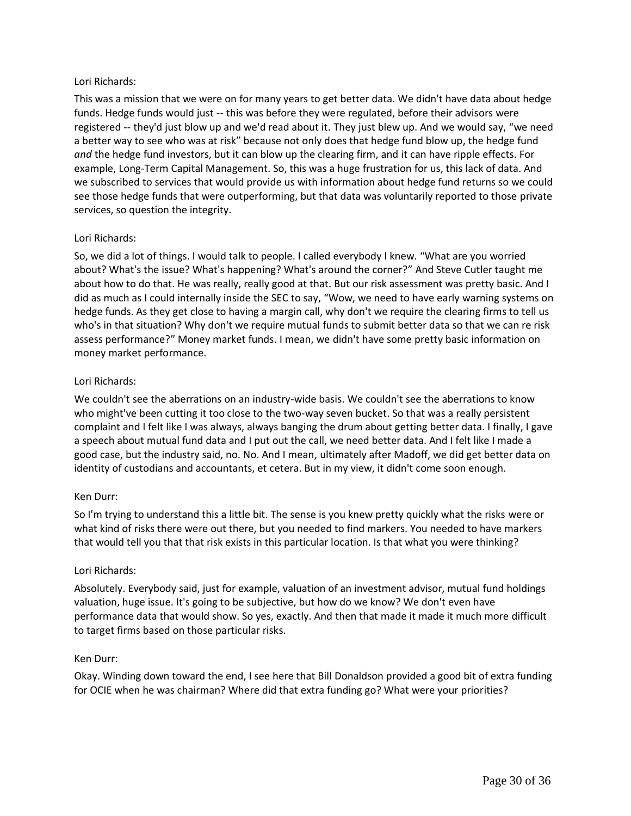This was a mission that we were on for many years to get better data. We didn't have data about hedge funds. Hedge funds would just -- this was before they were regulated, before their advisors were registered -- they'd just blow up and we'd read about it. They just blew up. And we would say, "we need a better way to see who was at risk" because not only does that hedge fund blow up, the hedge fund *and* the hedge fund investors, but it can blow up the clearing firm, and it can have ripple effects. For example, Long-Term Capital Management. So, this was a huge frustration for us, this lack of data. And we subscribed to services that would provide us with information about hedge fund returns so we could see those hedge funds that were outperforming, but that data was voluntarily reported to those private services, so question the integrity.

# Lori Richards:

So, we did a lot of things. I would talk to people. I called everybody I knew. "What are you worried about? What's the issue? What's happening? What's around the corner?" And Steve Cutler taught me about how to do that. He was really, really good at that. But our risk assessment was pretty basic. And I did as much as I could internally inside the SEC to say, "Wow, we need to have early warning systems on hedge funds. As they get close to having a margin call, why don't we require the clearing firms to tell us who's in that situation? Why don't we require mutual funds to submit better data so that we can re risk assess performance?" Money market funds. I mean, we didn't have some pretty basic information on money market performance.

# Lori Richards:

We couldn't see the aberrations on an industry-wide basis. We couldn't see the aberrations to know who might've been cutting it too close to the two-way seven bucket. So that was a really persistent complaint and I felt like I was always, always banging the drum about getting better data. I finally, I gave a speech about mutual fund data and I put out the call, we need better data. And I felt like I made a good case, but the industry said, no. No. And I mean, ultimately after Madoff, we did get better data on identity of custodians and accountants, et cetera. But in my view, it didn't come soon enough.

## Ken Durr:

So I'm trying to understand this a little bit. The sense is you knew pretty quickly what the risks were or what kind of risks there were out there, but you needed to find markers. You needed to have markers that would tell you that that risk exists in this particular location. Is that what you were thinking?

## Lori Richards:

Absolutely. Everybody said, just for example, valuation of an investment advisor, mutual fund holdings valuation, huge issue. It's going to be subjective, but how do we know? We don't even have performance data that would show. So yes, exactly. And then that made it made it much more difficult to target firms based on those particular risks.

## Ken Durr:

Okay. Winding down toward the end, I see here that Bill Donaldson provided a good bit of extra funding for OCIE when he was chairman? Where did that extra funding go? What were your priorities?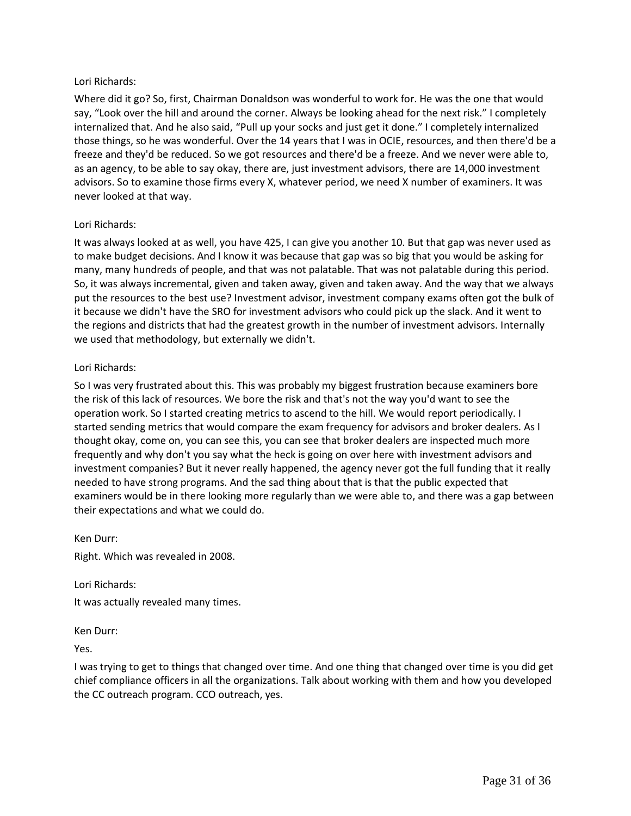Where did it go? So, first, Chairman Donaldson was wonderful to work for. He was the one that would say, "Look over the hill and around the corner. Always be looking ahead for the next risk." I completely internalized that. And he also said, "Pull up your socks and just get it done." I completely internalized those things, so he was wonderful. Over the 14 years that I was in OCIE, resources, and then there'd be a freeze and they'd be reduced. So we got resources and there'd be a freeze. And we never were able to, as an agency, to be able to say okay, there are, just investment advisors, there are 14,000 investment advisors. So to examine those firms every X, whatever period, we need X number of examiners. It was never looked at that way.

## Lori Richards:

It was always looked at as well, you have 425, I can give you another 10. But that gap was never used as to make budget decisions. And I know it was because that gap was so big that you would be asking for many, many hundreds of people, and that was not palatable. That was not palatable during this period. So, it was always incremental, given and taken away, given and taken away. And the way that we always put the resources to the best use? Investment advisor, investment company exams often got the bulk of it because we didn't have the SRO for investment advisors who could pick up the slack. And it went to the regions and districts that had the greatest growth in the number of investment advisors. Internally we used that methodology, but externally we didn't.

## Lori Richards:

So I was very frustrated about this. This was probably my biggest frustration because examiners bore the risk of this lack of resources. We bore the risk and that's not the way you'd want to see the operation work. So I started creating metrics to ascend to the hill. We would report periodically. I started sending metrics that would compare the exam frequency for advisors and broker dealers. As I thought okay, come on, you can see this, you can see that broker dealers are inspected much more frequently and why don't you say what the heck is going on over here with investment advisors and investment companies? But it never really happened, the agency never got the full funding that it really needed to have strong programs. And the sad thing about that is that the public expected that examiners would be in there looking more regularly than we were able to, and there was a gap between their expectations and what we could do.

## Ken Durr:

Right. Which was revealed in 2008.

Lori Richards:

It was actually revealed many times.

Ken Durr:

Yes.

I was trying to get to things that changed over time. And one thing that changed over time is you did get chief compliance officers in all the organizations. Talk about working with them and how you developed the CC outreach program. CCO outreach, yes.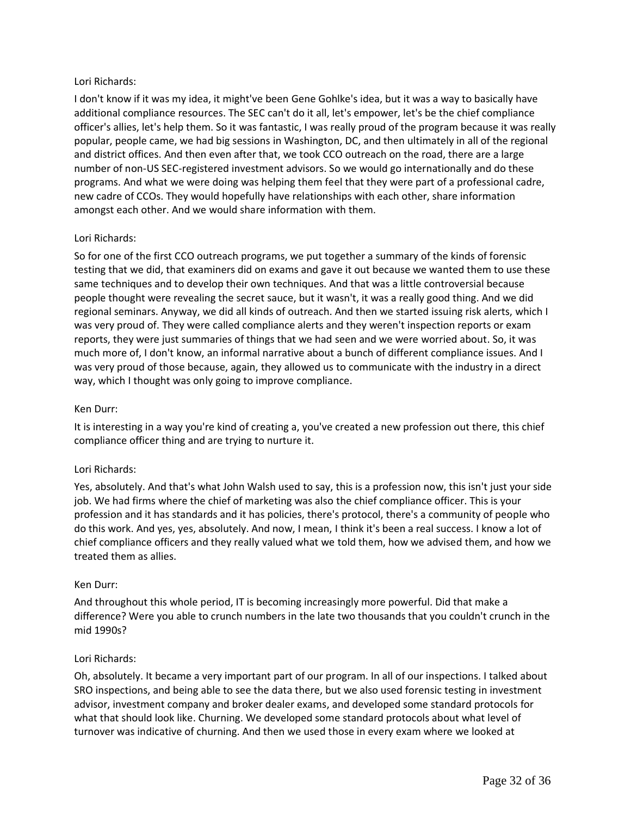I don't know if it was my idea, it might've been Gene Gohlke's idea, but it was a way to basically have additional compliance resources. The SEC can't do it all, let's empower, let's be the chief compliance officer's allies, let's help them. So it was fantastic, I was really proud of the program because it was really popular, people came, we had big sessions in Washington, DC, and then ultimately in all of the regional and district offices. And then even after that, we took CCO outreach on the road, there are a large number of non-US SEC-registered investment advisors. So we would go internationally and do these programs. And what we were doing was helping them feel that they were part of a professional cadre, new cadre of CCOs. They would hopefully have relationships with each other, share information amongst each other. And we would share information with them.

# Lori Richards:

So for one of the first CCO outreach programs, we put together a summary of the kinds of forensic testing that we did, that examiners did on exams and gave it out because we wanted them to use these same techniques and to develop their own techniques. And that was a little controversial because people thought were revealing the secret sauce, but it wasn't, it was a really good thing. And we did regional seminars. Anyway, we did all kinds of outreach. And then we started issuing risk alerts, which I was very proud of. They were called compliance alerts and they weren't inspection reports or exam reports, they were just summaries of things that we had seen and we were worried about. So, it was much more of, I don't know, an informal narrative about a bunch of different compliance issues. And I was very proud of those because, again, they allowed us to communicate with the industry in a direct way, which I thought was only going to improve compliance.

## Ken Durr:

It is interesting in a way you're kind of creating a, you've created a new profession out there, this chief compliance officer thing and are trying to nurture it.

## Lori Richards:

Yes, absolutely. And that's what John Walsh used to say, this is a profession now, this isn't just your side job. We had firms where the chief of marketing was also the chief compliance officer. This is your profession and it has standards and it has policies, there's protocol, there's a community of people who do this work. And yes, yes, absolutely. And now, I mean, I think it's been a real success. I know a lot of chief compliance officers and they really valued what we told them, how we advised them, and how we treated them as allies.

#### Ken Durr:

And throughout this whole period, IT is becoming increasingly more powerful. Did that make a difference? Were you able to crunch numbers in the late two thousands that you couldn't crunch in the mid 1990s?

#### Lori Richards:

Oh, absolutely. It became a very important part of our program. In all of our inspections. I talked about SRO inspections, and being able to see the data there, but we also used forensic testing in investment advisor, investment company and broker dealer exams, and developed some standard protocols for what that should look like. Churning. We developed some standard protocols about what level of turnover was indicative of churning. And then we used those in every exam where we looked at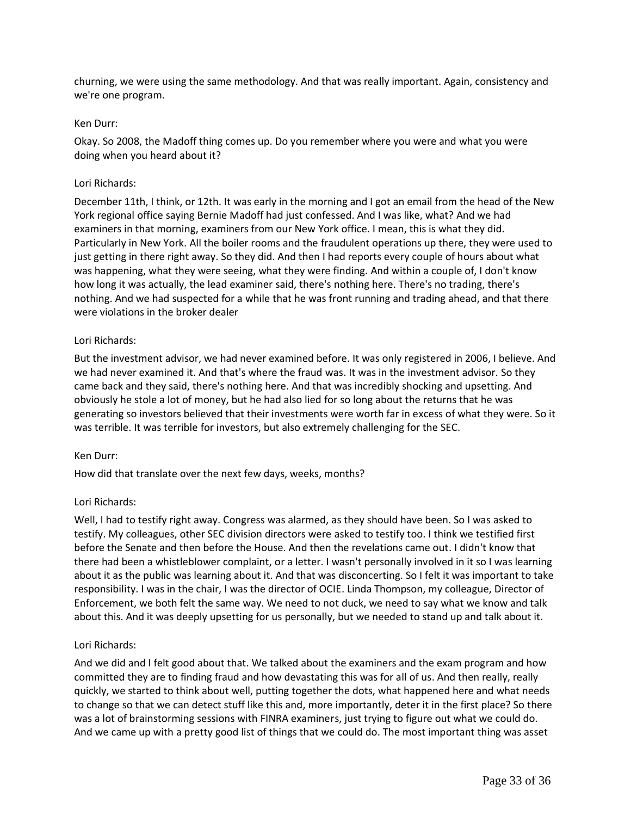churning, we were using the same methodology. And that was really important. Again, consistency and we're one program.

### Ken Durr:

Okay. So 2008, the Madoff thing comes up. Do you remember where you were and what you were doing when you heard about it?

### Lori Richards:

December 11th, I think, or 12th. It was early in the morning and I got an email from the head of the New York regional office saying Bernie Madoff had just confessed. And I was like, what? And we had examiners in that morning, examiners from our New York office. I mean, this is what they did. Particularly in New York. All the boiler rooms and the fraudulent operations up there, they were used to just getting in there right away. So they did. And then I had reports every couple of hours about what was happening, what they were seeing, what they were finding. And within a couple of, I don't know how long it was actually, the lead examiner said, there's nothing here. There's no trading, there's nothing. And we had suspected for a while that he was front running and trading ahead, and that there were violations in the broker dealer

### Lori Richards:

But the investment advisor, we had never examined before. It was only registered in 2006, I believe. And we had never examined it. And that's where the fraud was. It was in the investment advisor. So they came back and they said, there's nothing here. And that was incredibly shocking and upsetting. And obviously he stole a lot of money, but he had also lied for so long about the returns that he was generating so investors believed that their investments were worth far in excess of what they were. So it was terrible. It was terrible for investors, but also extremely challenging for the SEC.

#### Ken Durr:

How did that translate over the next few days, weeks, months?

#### Lori Richards:

Well, I had to testify right away. Congress was alarmed, as they should have been. So I was asked to testify. My colleagues, other SEC division directors were asked to testify too. I think we testified first before the Senate and then before the House. And then the revelations came out. I didn't know that there had been a whistleblower complaint, or a letter. I wasn't personally involved in it so I was learning about it as the public was learning about it. And that was disconcerting. So I felt it was important to take responsibility. I was in the chair, I was the director of OCIE. Linda Thompson, my colleague, Director of Enforcement, we both felt the same way. We need to not duck, we need to say what we know and talk about this. And it was deeply upsetting for us personally, but we needed to stand up and talk about it.

## Lori Richards:

And we did and I felt good about that. We talked about the examiners and the exam program and how committed they are to finding fraud and how devastating this was for all of us. And then really, really quickly, we started to think about well, putting together the dots, what happened here and what needs to change so that we can detect stuff like this and, more importantly, deter it in the first place? So there was a lot of brainstorming sessions with FINRA examiners, just trying to figure out what we could do. And we came up with a pretty good list of things that we could do. The most important thing was asset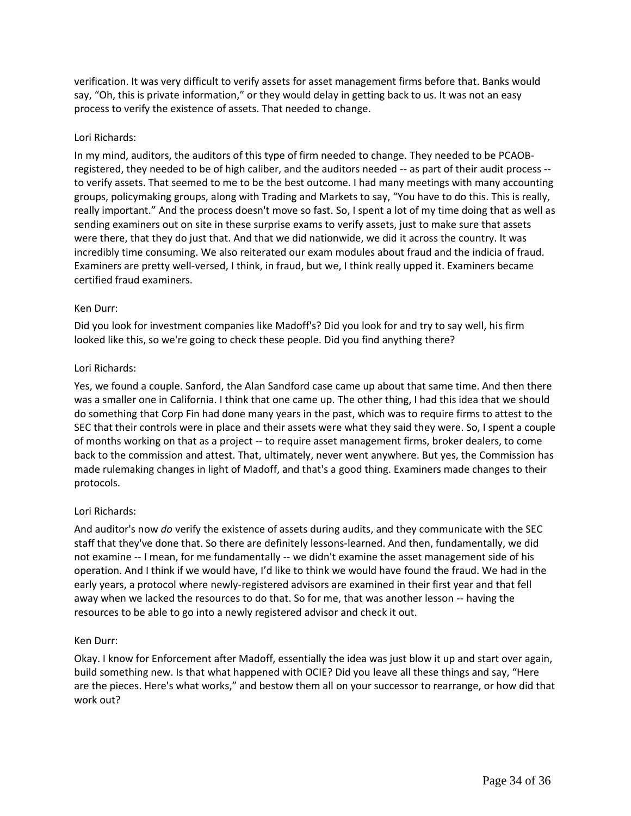verification. It was very difficult to verify assets for asset management firms before that. Banks would say, "Oh, this is private information," or they would delay in getting back to us. It was not an easy process to verify the existence of assets. That needed to change.

## Lori Richards:

In my mind, auditors, the auditors of this type of firm needed to change. They needed to be PCAOBregistered, they needed to be of high caliber, and the auditors needed -- as part of their audit process - to verify assets. That seemed to me to be the best outcome. I had many meetings with many accounting groups, policymaking groups, along with Trading and Markets to say, "You have to do this. This is really, really important." And the process doesn't move so fast. So, I spent a lot of my time doing that as well as sending examiners out on site in these surprise exams to verify assets, just to make sure that assets were there, that they do just that. And that we did nationwide, we did it across the country. It was incredibly time consuming. We also reiterated our exam modules about fraud and the indicia of fraud. Examiners are pretty well-versed, I think, in fraud, but we, I think really upped it. Examiners became certified fraud examiners.

# Ken Durr:

Did you look for investment companies like Madoff's? Did you look for and try to say well, his firm looked like this, so we're going to check these people. Did you find anything there?

# Lori Richards:

Yes, we found a couple. Sanford, the Alan Sandford case came up about that same time. And then there was a smaller one in California. I think that one came up. The other thing, I had this idea that we should do something that Corp Fin had done many years in the past, which was to require firms to attest to the SEC that their controls were in place and their assets were what they said they were. So, I spent a couple of months working on that as a project -- to require asset management firms, broker dealers, to come back to the commission and attest. That, ultimately, never went anywhere. But yes, the Commission has made rulemaking changes in light of Madoff, and that's a good thing. Examiners made changes to their protocols.

## Lori Richards:

And auditor's now *do* verify the existence of assets during audits, and they communicate with the SEC staff that they've done that. So there are definitely lessons-learned. And then, fundamentally, we did not examine -- I mean, for me fundamentally -- we didn't examine the asset management side of his operation. And I think if we would have, I'd like to think we would have found the fraud. We had in the early years, a protocol where newly-registered advisors are examined in their first year and that fell away when we lacked the resources to do that. So for me, that was another lesson -- having the resources to be able to go into a newly registered advisor and check it out.

## Ken Durr:

Okay. I know for Enforcement after Madoff, essentially the idea was just blow it up and start over again, build something new. Is that what happened with OCIE? Did you leave all these things and say, "Here are the pieces. Here's what works," and bestow them all on your successor to rearrange, or how did that work out?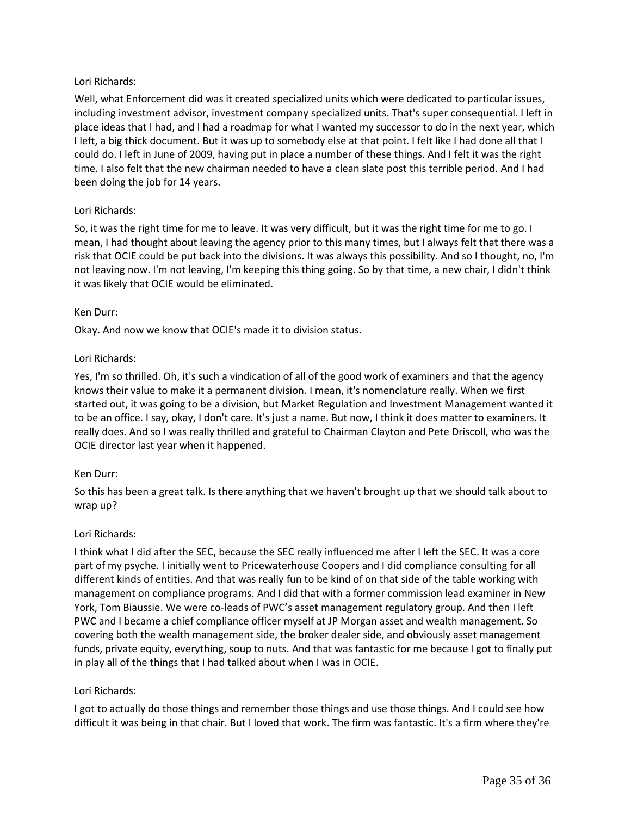Well, what Enforcement did was it created specialized units which were dedicated to particular issues, including investment advisor, investment company specialized units. That's super consequential. I left in place ideas that I had, and I had a roadmap for what I wanted my successor to do in the next year, which I left, a big thick document. But it was up to somebody else at that point. I felt like I had done all that I could do. I left in June of 2009, having put in place a number of these things. And I felt it was the right time. I also felt that the new chairman needed to have a clean slate post this terrible period. And I had been doing the job for 14 years.

## Lori Richards:

So, it was the right time for me to leave. It was very difficult, but it was the right time for me to go. I mean, I had thought about leaving the agency prior to this many times, but I always felt that there was a risk that OCIE could be put back into the divisions. It was always this possibility. And so I thought, no, I'm not leaving now. I'm not leaving, I'm keeping this thing going. So by that time, a new chair, I didn't think it was likely that OCIE would be eliminated.

## Ken Durr:

Okay. And now we know that OCIE's made it to division status.

# Lori Richards:

Yes, I'm so thrilled. Oh, it's such a vindication of all of the good work of examiners and that the agency knows their value to make it a permanent division. I mean, it's nomenclature really. When we first started out, it was going to be a division, but Market Regulation and Investment Management wanted it to be an office. I say, okay, I don't care. It's just a name. But now, I think it does matter to examiners. It really does. And so I was really thrilled and grateful to Chairman Clayton and Pete Driscoll, who was the OCIE director last year when it happened.

## Ken Durr:

So this has been a great talk. Is there anything that we haven't brought up that we should talk about to wrap up?

## Lori Richards:

I think what I did after the SEC, because the SEC really influenced me after I left the SEC. It was a core part of my psyche. I initially went to Pricewaterhouse Coopers and I did compliance consulting for all different kinds of entities. And that was really fun to be kind of on that side of the table working with management on compliance programs. And I did that with a former commission lead examiner in New York, Tom Biaussie. We were co-leads of PWC's asset management regulatory group. And then I left PWC and I became a chief compliance officer myself at JP Morgan asset and wealth management. So covering both the wealth management side, the broker dealer side, and obviously asset management funds, private equity, everything, soup to nuts. And that was fantastic for me because I got to finally put in play all of the things that I had talked about when I was in OCIE.

## Lori Richards:

I got to actually do those things and remember those things and use those things. And I could see how difficult it was being in that chair. But I loved that work. The firm was fantastic. It's a firm where they're